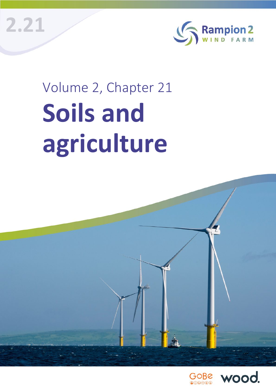**2.21**



# Volume 2, Chapter 21 **Soils and agriculture**



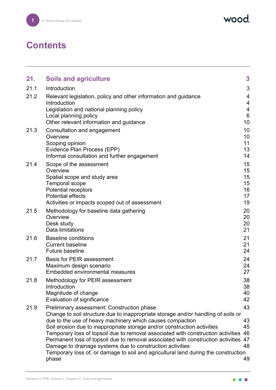wood.

# **Contents**

| 21.  | <b>Soils and agriculture</b>                                                                                                                                                                                                                                                                                                                                                                                                                                                                                                                                                                                    | 3                                      |
|------|-----------------------------------------------------------------------------------------------------------------------------------------------------------------------------------------------------------------------------------------------------------------------------------------------------------------------------------------------------------------------------------------------------------------------------------------------------------------------------------------------------------------------------------------------------------------------------------------------------------------|----------------------------------------|
| 21.1 | Introduction                                                                                                                                                                                                                                                                                                                                                                                                                                                                                                                                                                                                    | 3                                      |
| 21.2 | Relevant legislation, policy and other information and guidance<br>Introduction<br>Legislation and national planning policy<br>Local planning policy                                                                                                                                                                                                                                                                                                                                                                                                                                                            | 4<br>4<br>$\overline{4}$<br>6<br>10    |
| 21.3 | Other relevant information and guidance<br>Consultation and engagement<br>Overview<br>Scoping opinion<br>Evidence Plan Process (EPP)<br>Informal consultation and further engagement                                                                                                                                                                                                                                                                                                                                                                                                                            | 10<br>10<br>11<br>13<br>14             |
| 21.4 | Scope of the assessment<br>Overview<br>Spatial scope and study area<br><b>Temporal scope</b><br><b>Potential receptors</b><br><b>Potential effects</b><br>Activities or impacts scoped out of assessment                                                                                                                                                                                                                                                                                                                                                                                                        | 15<br>15<br>15<br>15<br>16<br>17<br>19 |
| 21.5 | Methodology for baseline data gathering<br>Overview<br>Desk study<br>Data limitations                                                                                                                                                                                                                                                                                                                                                                                                                                                                                                                           | 20<br>20<br>20<br>21                   |
| 21.6 | <b>Baseline conditions</b><br><b>Current baseline</b><br><b>Future baseline</b>                                                                                                                                                                                                                                                                                                                                                                                                                                                                                                                                 | 21<br>21<br>24                         |
| 21.7 | <b>Basis for PEIR assessment</b><br>Maximum design scenario<br>Embedded environmental measures                                                                                                                                                                                                                                                                                                                                                                                                                                                                                                                  | 24<br>24<br>27                         |
| 21.8 | Methodology for PEIR assessment<br>Introduction<br>Magnitude of change<br>Evaluation of significance                                                                                                                                                                                                                                                                                                                                                                                                                                                                                                            | 38<br>38<br>40<br>42                   |
| 21.9 | Preliminary assessment: Construction phase<br>Change to soil structure due to inappropriate storage and/or handling of soils or<br>due to the use of heavy machinery which causes compaction<br>Soil erosion due to inappropriate storage and/or construction activities<br>Temporary loss of topsoil due to removal associated with construction activities<br>Permanent loss of topsoil due to removal associated with construction activities 47<br>Damage to drainage systems due to construction activities<br>Temporary loss of, or damage to soil and agricultural land during the construction<br>phase | 43<br>43<br>45<br>46<br>48<br>49       |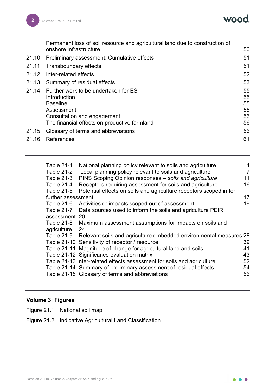wood.

|       | Permanent loss of soil resource and agricultural land due to construction of<br>onshore infrastructure | 50       |
|-------|--------------------------------------------------------------------------------------------------------|----------|
| 21.10 | Preliminary assessment: Cumulative effects                                                             | 51       |
| 21.11 | Transboundary effects                                                                                  | 51       |
| 21.12 | Inter-related effects                                                                                  | 52       |
| 21.13 | Summary of residual effects                                                                            | 53       |
| 21.14 | Further work to be undertaken for ES<br>Introduction                                                   | 55<br>55 |
|       | <b>Baseline</b>                                                                                        | 55       |
|       | Assessment                                                                                             | 56       |
|       | Consultation and engagement                                                                            | 56       |
|       | The financial effects on productive farmland                                                           | 56       |
| 21.15 | Glossary of terms and abbreviations                                                                    | 56       |
| 21.16 | References                                                                                             | 61       |
|       |                                                                                                        |          |

| Table 21-1<br>Table 21-2<br>Table 21-3<br>Table 21-4<br>Table 21-5 | National planning policy relevant to soils and agriculture<br>Local planning policy relevant to soils and agriculture<br>PINS Scoping Opinion responses - soils and agriculture<br>Receptors requiring assessment for soils and agriculture<br>Potential effects on soils and agriculture receptors scoped in for | 4<br>$\overline{7}$<br>11<br>16 |
|--------------------------------------------------------------------|-------------------------------------------------------------------------------------------------------------------------------------------------------------------------------------------------------------------------------------------------------------------------------------------------------------------|---------------------------------|
| further assessment                                                 |                                                                                                                                                                                                                                                                                                                   | 17                              |
| Table 21-6                                                         | Activities or impacts scoped out of assessment                                                                                                                                                                                                                                                                    | 19                              |
| <b>Table 21-7</b>                                                  | Data sources used to inform the soils and agriculture PEIR                                                                                                                                                                                                                                                        |                                 |
| assessment 20                                                      |                                                                                                                                                                                                                                                                                                                   |                                 |
| Table 21-8                                                         | Maximum assessment assumptions for impacts on soils and                                                                                                                                                                                                                                                           |                                 |
| agriculture                                                        | 24                                                                                                                                                                                                                                                                                                                |                                 |
|                                                                    | Table 21-9 Relevant soils and agriculture embedded environmental measures 28                                                                                                                                                                                                                                      |                                 |
|                                                                    | Table 21-10 Sensitivity of receptor / resource                                                                                                                                                                                                                                                                    | 39                              |
|                                                                    | Table 21-11 Magnitude of change for agricultural land and soils                                                                                                                                                                                                                                                   | 41                              |
|                                                                    | Table 21-12 Significance evaluation matrix                                                                                                                                                                                                                                                                        | 43                              |
|                                                                    | Table 21-13 Inter-related effects assessment for soils and agriculture                                                                                                                                                                                                                                            | 52                              |
|                                                                    | Table 21-14 Summary of preliminary assessment of residual effects                                                                                                                                                                                                                                                 | 54                              |
|                                                                    | Table 21-15 Glossary of terms and abbreviations                                                                                                                                                                                                                                                                   | 56                              |
|                                                                    |                                                                                                                                                                                                                                                                                                                   |                                 |

# **Volume 3: Figures**

- Figure 21.1 National soil map
- Figure 21.2 Indicative Agricultural Land Classification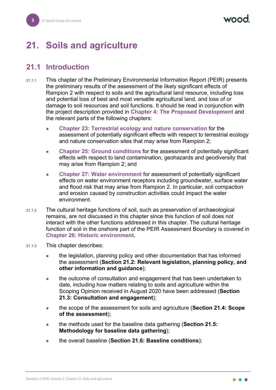# <span id="page-3-0"></span>**21. Soils and agriculture**

# <span id="page-3-1"></span>**21.1 Introduction**

- 21.1.1 This chapter of the Preliminary Environmental Information Report (PEIR) presents the preliminary results of the assessment of the likely significant effects of Rampion 2 with respect to soils and the agricultural land resource, including loss and potential loss of best and most versatile agricultural land, and loss of or damage to soil resources and soil functions. It should be read in conjunction with the project description provided in **Chapter 4: The Proposed Development** and the relevant parts of the following chapters:
	- **Chapter 23: Terrestrial ecology and nature conservation** for the assessment of potentially significant effects with respect to terrestrial ecology and nature conservation sites that may arise from Rampion 2;
	- **Chapter 25: Ground conditions** for the assessment of potentially significant effects with respect to land contamination, geohazards and geodiversity that may arise from Rampion 2; and
	- **Chapter 27: Water environment** for assessment of potentially significant effects on water environment receptors including groundwater, surface water and flood risk that may arise from Rampion 2. In particular, soil compaction and erosion caused by construction activities could impact the water environment.
- 21.1.2 The cultural heritage functions of soil, such as preservation of archaeological remains, are not discussed in this chapter since this function of soil does not interact with the other functions addressed in this chapter. The cultural heritage function of soil in the onshore part of the PEIR Assessment Boundary is covered in **Chapter 26: Historic environment.**
- 21.1.3 This chapter describes:
	- the legislation, planning policy and other documentation that has informed the assessment (**Section [21.2:](#page-4-0) Relevant legislation, planning policy, and other information and guidance**);
	- the outcome of consultation and engagement that has been undertaken to date, including how matters relating to soils and agriculture within the Scoping Opinion received in August 2020 have been addressed (**Section [21.3:](#page-10-1) Consultation and engagement**);
	- the scope of the assessment for soils and agriculture (**Section [21.4:](#page-15-0) Scope of the assessment**);
	- the methods used for the baseline data gathering (**Section [21.5:](#page-20-0) Methodology for baseline data gathering**);
	- the overall baseline (**Section [21.6:](#page-21-1) Baseline conditions**);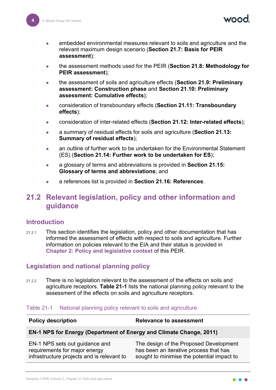naad

- embedded environmental measures relevant to soils and agriculture and the relevant maximum design scenario (**Section [21.7:](#page-24-1) Basis for PEIR assessment**);
- the assessment methods used for the PEIR (**Section [21.8:](#page-38-0) Methodology for PEIR assessment**);
- the assessment of soils and agriculture effects (**Section [21.9:](#page-43-0) Preliminary assessment: Construction phase** and **Section [21.10:](#page-51-0) Preliminary assessment: Cumulative effects**);
- consideration of transboundary effects (**Section [21.11:](#page-51-1) Transboundary effects**);
- consideration of inter-related effects (**Section [21.12:](#page-52-0) Inter-related effects**);
- a summary of residual effects for soils and agriculture (**Section [21.13:](#page-53-0) Summary of residual effects**);
- an outline of further work to be undertaken for the Environmental Statement (ES) (**Section [21.14:](#page-55-0) Further work to be undertaken for ES**);
- a glossary of terms and abbreviations is provided in **Section [21.15:](#page-56-3) Glossary of terms and abbreviations**; and
- a references list is provided in **Section [21.16:](#page-61-0) References**.

# <span id="page-4-0"></span>**21.2 Relevant legislation, policy and other information and guidance**

#### <span id="page-4-1"></span>**Introduction**

21.2.1 This section identifies the legislation, policy and other documentation that has informed the assessment of effects with respect to soils and agriculture. Further information on policies relevant to the EIA and their status is provided in **Chapter 2: Policy and legislative context** of this PEIR.

#### <span id="page-4-2"></span>**Legislation and national planning policy**

21.2.2 There is no legislation relevant to the assessment of the effects on soils and agriculture receptors. **[Table 21-1](#page-4-3)** lists the national planning policy relevant to the assessment of the effects on soils and agriculture receptors.

#### <span id="page-4-3"></span>Table 21-1 National planning policy relevant to soils and agriculture

| <b>Policy description</b>                                                                                     | <b>Relevance to assessment</b>                                                                                                 |
|---------------------------------------------------------------------------------------------------------------|--------------------------------------------------------------------------------------------------------------------------------|
| EN-1 NPS for Energy (Department of Energy and Climate Change, 2011)                                           |                                                                                                                                |
| EN-1 NPS sets out guidance and<br>requirements for major energy<br>infrastructure projects and is relevant to | The design of the Proposed Development<br>has been an iterative process that has<br>sought to minimise the potential impact to |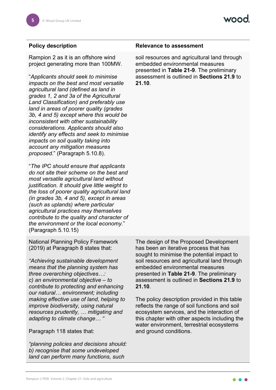Rampion 2 as it is an offshore wind project generating more than 100MW.

"*Applicants should seek to minimise impacts on the best and most versatile agricultural land (defined as land in grades 1, 2 and 3a of the Agricultural Land Classification) and preferably use land in areas of poorer quality (grades 3b, 4 and 5) except where this would be inconsistent with other sustainability considerations. Applicants should also identify any effects and seek to minimise impacts on soil quality taking into account any mitigation measures proposed*." (Paragraph 5.10.8).

"*The IPC should ensure that applicants do not site their scheme on the best and most versatile agricultural land without justification. It should give little weight to the loss of poorer quality agricultural land (in grades 3b, 4 and 5), except in areas (such as uplands) where particular agricultural practices may themselves contribute to the quality and character of the environment or the local economy.*" (Paragraph 5.10.15)

National Planning Policy Framework (2019) at Paragraph 8 states that:

*"Achieving sustainable development means that the planning system has three overarching objectives…: c) an environmental objective – to contribute to protecting and enhancing our natural… environment; including making effective use of land, helping to improve biodiversity, using natural resources prudently, … mitigating and adapting to climate change… "*

#### Paragraph 118 states that:

*"planning policies and decisions should: b) recognise that some undeveloped land can perform many functions, such* 

#### **Policy description Relevance to assessment**

soil resources and agricultural land through embedded environmental measures presented in **[Table 21-9](#page-28-0)**. The preliminary assessment is outlined in **Sections [21.9](#page-43-0)** to **[21.10](#page-51-0)**.

The design of the Proposed Development has been an iterative process that has sought to minimise the potential impact to soil resources and agricultural land through embedded environmental measures presented in **[Table 21-9](#page-28-0)**. The preliminary assessment is outlined in **Sections [21.9](#page-43-0)** to **[21.10](#page-51-0)**.

The policy description provided in this table reflects the range of soil functions and soil ecosystem services, and the interaction of this chapter with other aspects including the water environment, terrestrial ecosystems and ground conditions.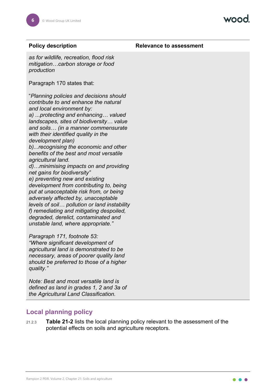**Policy description Relevance to assessment** 

*as for wildlife, recreation, flood risk mitigation…carbon storage or food production*

Paragraph 170 states that:

"*Planning policies and decisions should contribute to and enhance the natural and local environment by: a) ...protecting and enhancing… valued landscapes, sites of biodiversity… value and soils… (in a manner commensurate with their identified quality in the development plan) b)...recognising the economic and other benefits of the best and most versatile agricultural land. d)…minimising impacts on and providing net gains for biodiversity" e) preventing new and existing development from contributing to, being put at unacceptable risk from, or being adversely affected by, unacceptable levels of soil… pollution or land instability f) remediating and mitigating despoiled, degraded, derelict, contaminated and unstable land, where appropriate."*

*Paragraph 171, footnote 53: "Where significant development of agricultural land is demonstrated to be necessary, areas of poorer quality land should be preferred to those of a higher quality."* 

*Note: Best and most versatile land is defined as land in grades 1, 2 and 3a of the Agricultural Land Classification.*

#### <span id="page-6-0"></span>**Local planning policy**

21.2.3 **[Table 21-2](#page-7-0)** lists the local planning policy relevant to the assessment of the potential effects on soils and agriculture receptors.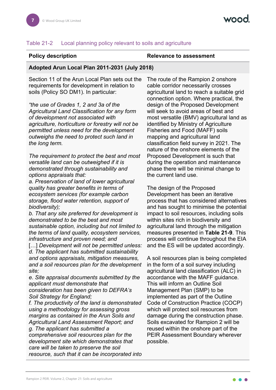#### <span id="page-7-0"></span>Table 21-2 Local planning policy relevant to soils and agriculture

#### **Policy description Relevance to assessment**

#### **Adopted Arun Local Plan 2011-2031 (July 2018)**

Section 11 of the Arun Local Plan sets out the requirements for development in relation to soils (Policy SO DM1). In particular:

*"the use of Grades 1, 2 and 3a of the Agricultural Land Classification for any form of development not associated with agriculture, horticulture or forestry will not be permitted unless need for the development outweighs the need to protect such land in the long term.*

*The requirement to protect the best and most versatile land can be outweighed if it is demonstrated through sustainability and options appraisals that:* 

*a. Preservation of land of lower agricultural quality has greater benefits in terms of ecosystem services (for example carbon storage, flood water retention, support of biodiversity);* 

*b. That any site preferred for development is demonstrated to be the best and most sustainable option, including but not limited to the terms of land quality, ecosystem services, infrastructure and proven need; and*

[...] *Development will not be permitted unless: d. The applicant has submitted sustainability and options appraisals, mitigation measures, and a soil resources plan for the development site;* 

*e. Site appraisal documents submitted by the applicant must demonstrate that consideration has been given to DEFRA's Soil Strategy for England;* 

*f. The productivity of the land is demonstrated using a methodology for assessing gross margins as contained in the Arun Soils and Agricultural Land Assessment Report; and g. The applicant has submitted a comprehensive soil resources plan for the development site which demonstrates that care will be taken to preserve the soil resource, such that it can be incorporated into*  The route of the Rampion 2 onshore cable corridor necessarily crosses agricultural land to reach a suitable grid connection option. Where practical, the design of the Proposed Development will seek to avoid areas of best and most versatile (BMV) agricultural land as identified by Ministry of Agriculture Fisheries and Food (MAFF) soils mapping and agricultural land classification field survey in 2021. The nature of the onshore elements of the Proposed Development is such that during the operation and maintenance phase there will be minimal change to the current land use.

The design of the Proposed Development has been an iterative process that has considered alternatives and has sought to minimise the potential impact to soil resources, including soils within sites rich in biodiversity and agricultural land through the mitigation measures presented in **[Table 21-9](#page-28-0)**. This process will continue throughout the EIA and the ES will be updated accordingly.

A soil resources plan is being completed in the form of a soil survey including agricultural land classification (ALC) in accordance with the MAFF guidance. This will inform an Outline Soil Management Plan (SMP) to be implemented as part of the Outline Code of Construction Practice (COCP) which will protect soil resources from damage during the construction phase. Soils excavated for Rampion 2 will be reused within the onshore part of the PEIR Assessment Boundary wherever possible.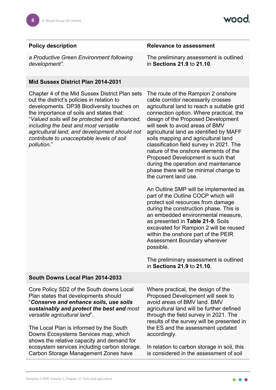*a Productive Green Environment following development".*

#### **Mid Sussex District Plan 2014-2031**

Chapter 4 of the Mid Sussex District Plan sets out the district's policies in relation to developments. DP38 Biodiversity touches on the importance of soils and states that: "*Valued soils will be protected and enhanced, including the best and most versatile agricultural land, and development should not contribute to unacceptable levels of soil pollution.*"

#### **Policy description Relevance to assessment**

The preliminary assessment is outlined in **Sections [21.9](#page-43-0)** to **[21.10](#page-51-0)**.

The route of the Rampion 2 onshore cable corridor necessarily crosses agricultural land to reach a suitable grid connection option. Where practical, the design of the Proposed Development will seek to avoid areas of BMV agricultural land as identified by MAFF soils mapping and agricultural land classification field survey in 2021. The nature of the onshore elements of the Proposed Development is such that during the operation and maintenance phase there will be minimal change to the current land use.

An Outline SMP will be implemented as part of the Outline COCP which will protect soil resources from damage during the construction phase. This is an embedded environmental measure, as presented in **[Table 21-9](#page-28-0)**. Soils excavated for Rampion 2 will be reused within the onshore part of the PEIR Assessment Boundary wherever possible.

The preliminary assessment is outlined in **Sections [21.9](#page-43-0)** to **[21.10](#page-51-0)**.

#### **South Downs Local Plan 2014-2033**

Core Policy SD2 of the South downs Local Plan states that developments should "*Conserve and enhance soils, use soils sustainably and protect the best and most versatile agricultural land*".

The Local Plan is informed by the South Downs Ecosystems Services map, which shows the relative capacity and demand for ecosystem services including carbon storage. Carbon Storage Management Zones have

Where practical, the design of the Proposed Development will seek to avoid areas of BMV land. BMV agricultural land will be further defined through the field survey in 2021. The results of the survey will be presented in the ES and the assessment updated accordingly.

In relation to carbon storage in soil, this is considered in the assessment of soil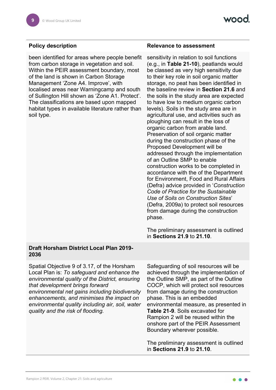been identified for areas where people benefit from carbon storage in vegetation and soil. Within the PEIR assessment boundary, most of the land is shown in Carbon Storage Management 'Zone A4. Improve', with localised areas near Warningcamp and south of Sullington Hill shown as 'Zone A1. Protect'. The classifications are based upon mapped habitat types in available literature rather than soil type.

#### **Policy description Relevance to assessment**

sensitivity in relation to soil functions (e.g., in **[Table 21-10](#page-39-0)**), peatlands would be classed as very high sensitivity due to their key role in soil organic matter storage, no peat has been identified in the baseline review in **Section [21.6](#page-21-1)** and the soils in the study area are expected to have low to medium organic carbon levels). Soils in the study area are in agricultural use, and activities such as ploughing can result in the loss of organic carbon from arable land. Preservation of soil organic matter during the construction phase of the Proposed Development will be addressed through the implementation of an Outline SMP to enable construction works to be completed in accordance with the of the Department for Environment, Food and Rural Affairs (Defra) advice provided in '*Construction Code of Practice for the Sustainable Use of Soils on Construction Sites*' (Defra, 2009a) to protect soil resources from damage during the construction phase.

The preliminary assessment is outlined in **Sections [21.9](#page-43-0)** to **[21.10](#page-51-0)**.

#### **Draft Horsham District Local Plan 2019- 2036**

Spatial Objective 9 of 3.17, of the Horsham Local Plan is: *To safeguard and enhance the environmental quality of the District, ensuring that development brings forward environmental net gains including biodiversity enhancements, and minimises the impact on environmental quality including air, soil, water quality and the risk of flooding.*

Safeguarding of soil resources will be achieved through the implementation of the Outline SMP, as part of the Outline COCP, which will protect soil resources from damage during the construction phase. This is an embedded environmental measure, as presented in **[Table 21-9](#page-28-0)**. Soils excavated for Rampion 2 will be reused within the onshore part of the PEIR Assessment Boundary wherever possible.

The preliminary assessment is outlined in **Sections [21.9](#page-43-0)** to **[21.10](#page-51-0)**.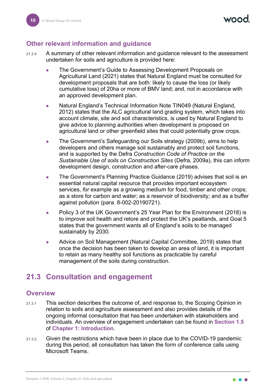### <span id="page-10-0"></span>**Other relevant information and guidance**

- 21.2.4 A summary of other relevant information and guidance relevant to the assessment undertaken for soils and agriculture is provided here:
	- The Government's Guide to Assessing Development Proposals on Agricultural Land (2021) states that Natural England must be consulted for development proposals that are both: likely to cause the loss (or likely cumulative loss) of 20ha or more of BMV land; and, not in accordance with an approved development plan.
	- Natural England's Technical Information Note TIN049 (Natural England, 2012) states that the ALC agricultural land grading system, which takes into account climate, site and soil characteristics, is used by Natural England to give advice to planning authorities when development is proposed on agricultural land or other greenfield sites that could potentially grow crops.
	- The Government's Safeguarding our Soils strategy (2009b), aims to help developers and others manage soil sustainably and protect soil functions, and is supported by the Defra *Construction Code of Practice on the Sustainable Use of soils on Construction Sites* (Defra, 2009a), this can inform development design, construction and after-care phases.
	- The Government's Planning Practice Guidance (2019) advises that soil is an essential natural capital resource that provides important ecosystem services, *for* example as a growing medium for food, timber and other crops; as a store for carbon and water; as a reservoir of biodiversity; and as a buffer against pollution (para. 8-002-20190721).
	- Policy 3 of the UK Government's 25 Year Plan for the Environment (2018) is to improve soil health and retore and protect the UK's peatlands, and Goal 5 states that the government wants all of England's soils to be managed sustainably by 2030.
	- Advice on Soil Management (Natural Capital Committee, 2019) states that once the decision has been taken to develop an area of land, it is important to retain as many healthy soil functions as practicable by careful management of the soils during construction.

# <span id="page-10-1"></span>**21.3 Consultation and engagement**

#### <span id="page-10-2"></span>**Overview**

- 21.3.1 This section describes the outcome of, and response to, the Scoping Opinion in relation to soils and agriculture assessment and also provides details of the ongoing informal consultation that has been undertaken with stakeholders and individuals. An overview of engagement undertaken can be found in **Section 1.5** of **Chapter 1: Introduction**.
- 21.3.2 Given the restrictions which have been in place due to the COVID-19 pandemic during this period, all consultation has taken the form of conference calls using Microsoft Teams.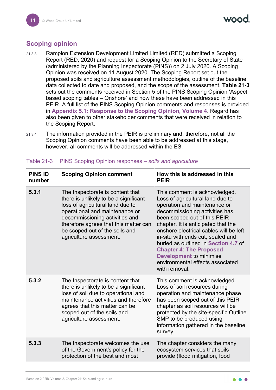# <span id="page-11-0"></span>**Scoping opinion**

- 21.3.3 Rampion Extension Development Limited Limited (RED) submitted a Scoping Report (RED, 2020) and request for a Scoping Opinion to the Secretary of State (administered by the Planning Inspectorate (PINS)) on 2 July 2020. A Scoping Opinion was received on 11 August 2020. The Scoping Report set out the proposed soils and agriculture assessment methodologies, outline of the baseline data collected to date and proposed, and the scope of the assessment. **[Table 21-3](#page-11-1)** sets out the comments received in Section 5 of the PINS Scoping Opinion 'Aspect based scoping tables – Onshore' and how these have been addressed in this PEIR. A full list of the PINS Scoping Opinion comments and responses is provided in **Appendix 5.1: Response to the Scoping Opinion, Volume 4**. Regard has also been given to other stakeholder comments that were received in relation to the Scoping Report.
- 21.3.4 The information provided in the PEIR is preliminary and, therefore, not all the Scoping Opinion comments have been able to be addressed at this stage, however, all comments will be addressed within the ES.

| <b>PINS ID</b><br>number | <b>Scoping Opinion comment</b>                                                                                                                                                                                                                                                          | How this is addressed in this<br><b>PEIR</b>                                                                                                                                                                                                                                                                                                                                                                                                               |
|--------------------------|-----------------------------------------------------------------------------------------------------------------------------------------------------------------------------------------------------------------------------------------------------------------------------------------|------------------------------------------------------------------------------------------------------------------------------------------------------------------------------------------------------------------------------------------------------------------------------------------------------------------------------------------------------------------------------------------------------------------------------------------------------------|
| 5.3.1                    | The Inspectorate is content that<br>there is unlikely to be a significant<br>loss of agricultural land due to<br>operational and maintenance or<br>decommissioning activities and<br>therefore agrees that this matter can<br>be scoped out of the soils and<br>agriculture assessment. | This comment is acknowledged.<br>Loss of agricultural land due to<br>operation and maintenance or<br>decommissioning activities has<br>been scoped out of this PEIR<br>chapter. It is anticipated that the<br>onshore electrical cables will be left<br>in-situ with ends cut, sealed and<br>buried as outlined in Section 4.7 of<br><b>Chapter 4: The Proposed</b><br><b>Development to minimise</b><br>environmental effects associated<br>with removal. |
| 5.3.2                    | The Inspectorate is content that<br>there is unlikely to be a significant<br>loss of soil due to operational and<br>maintenance activities and therefore<br>agrees that this matter can be<br>scoped out of the soils and<br>agriculture assessment.                                    | This comment is acknowledged.<br>Loss of soil resources during<br>operation and maintenance phase<br>has been scoped out of this PEIR<br>chapter as soil resources will be<br>protected by the site-specific Outline<br>SMP to be produced using<br>information gathered in the baseline<br>survey.                                                                                                                                                        |
| 5.3.3                    | The Inspectorate welcomes the use<br>of the Government's policy for the<br>protection of the best and most                                                                                                                                                                              | The chapter considers the many<br>ecosystem services that soils<br>provide (flood mitigation, food                                                                                                                                                                                                                                                                                                                                                         |

<span id="page-11-1"></span>Table 21-3 PINS Scoping Opinion responses – *soils and agriculture*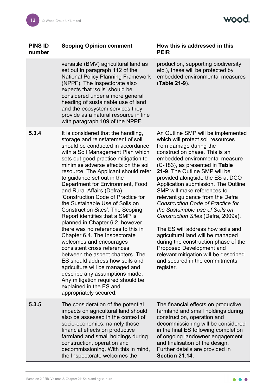| <b>PINS ID</b> | <b>Scoping Opinion comment</b> |
|----------------|--------------------------------|
| number         |                                |

versatile (BMV) agricultural land as set out in paragraph 112 of the National Policy Planning Framework (NPPF). The Inspectorate also expects that 'soils' should be considered under a more general heading of sustainable use of land and the ecosystem services they provide as a natural resource in line with paragraph 109 of the NPPF.

#### **Scoping Opinion comment How this is addressed in this PEIR**

production, supporting biodiversity etc.), these will be protected by embedded environmental measures (**[Table 21-9](#page-28-0)**).

- **5.3.4** It is considered that the handling, storage and reinstatement of soil should be conducted in accordance with a Soil Management Plan which sets out good practice mitigation to minimise adverse effects on the soil resource. The Applicant should refer to guidance set out in the Department for Environment, Food and Rural Affairs (Defra) 'Construction Code of Practice for the Sustainable Use of Soils on Construction Sites'. The Scoping Report identifies that a SMP is planned in Chapter 6.2, however, there was no references to this in Chapter 6.4. The Inspectorate welcomes and encourages consistent cross references between the aspect chapters. The ES should address how soils and agriculture will be managed and describe any assumptions made. Any mitigation required should be explained in the ES and appropriately secured.
- **5.3.5** The consideration of the potential impacts on agricultural land should also be assessed in the context of socio-economics, namely those financial effects on productive farmland and small holdings during construction, operation and decommissioning. With this in mind, the Inspectorate welcomes the

An Outline SMP will be implemented which will protect soil resources from damage during the construction phase. This is an embedded environmental measure (C-183), as presented in **[Table](#page-28-0)  [21-9](#page-28-0)**. The Outline SMP will be provided alongside the ES at DCO Application submission. The Outline SMP will make references to relevant guidance from the Defra *Construction Code of Practice for the Sustainable use of Soils on Construction Sites* (Defra, 2009a).

The ES will address how soils and agricultural land will be managed during the construction phase of the Proposed Development and relevant mitigation will be described and secured in the commitments register.

The financial effects on productive farmland and small holdings during construction, operation and decommissioning will be considered in the final ES following completion of ongoing landowner engagement and finalisation of the design. Further details are provided in **Section [21.14.](#page-55-0)**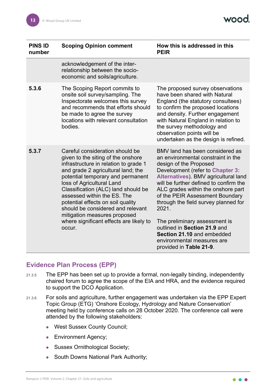| <b>PINS ID</b><br>number | <b>Scoping Opinion comment</b>                                                                                                                                                                                                                                                                                                                                                                                                                              | How this is addressed in this<br><b>PEIR</b>                                                                                                                                                                                                                                                                                                                                                                                                                                                            |
|--------------------------|-------------------------------------------------------------------------------------------------------------------------------------------------------------------------------------------------------------------------------------------------------------------------------------------------------------------------------------------------------------------------------------------------------------------------------------------------------------|---------------------------------------------------------------------------------------------------------------------------------------------------------------------------------------------------------------------------------------------------------------------------------------------------------------------------------------------------------------------------------------------------------------------------------------------------------------------------------------------------------|
|                          | acknowledgement of the inter-<br>relationship between the socio-<br>economic and soils/agriculture.                                                                                                                                                                                                                                                                                                                                                         |                                                                                                                                                                                                                                                                                                                                                                                                                                                                                                         |
| 5.3.6                    | The Scoping Report commits to<br>onsite soil survey/sampling. The<br>Inspectorate welcomes this survey<br>and recommends that efforts should<br>be made to agree the survey<br>locations with relevant consultation<br>bodies.                                                                                                                                                                                                                              | The proposed survey observations<br>have been shared with Natural<br>England (the statutory consultees)<br>to confirm the proposed locations<br>and density. Further engagement<br>with Natural England in relation to<br>the survey methodology and<br>observation points will be<br>undertaken as the design is refined.                                                                                                                                                                              |
| 5.3.7                    | Careful consideration should be<br>given to the siting of the onshore<br>infrastructure in relation to grade 1<br>and grade 2 agricultural land; the<br>potential temporary and permanent<br>loss of Agricultural Land<br>Classification (ALC) land should be<br>assessed within the ES. The<br>potential effects on soil quality<br>should be considered and relevant<br>mitigation measures proposed<br>where significant effects are likely to<br>occur. | BMV land has been considered as<br>an environmental constraint in the<br>design of the Proposed<br>Development (refer to Chapter 3:<br>Alternatives). BMV agricultural land<br>will be further defined to confirm the<br>ALC grades within the onshore part<br>of the PEIR Assessment Boundary<br>through the field survey planned for<br>2021.<br>The preliminary assessment is<br>outlined in Section 21.9 and<br>Section 21.10 and embedded<br>environmental measures are<br>provided in Table 21-9. |

### <span id="page-13-0"></span>**Evidence Plan Process (EPP)**

- 21.3.5 The EPP has been set up to provide a formal, non-legally binding, independently chaired forum to agree the scope of the EIA and HRA, and the evidence required to support the DCO Application.
- 21.3.6 For soils and agriculture, further engagement was undertaken via the EPP Expert Topic Group (ETG) 'Onshore Ecology, Hydrology and Nature Conservation' meeting held by conference calls on 28 October 2020. The conference call were attended by the following stakeholders:
	- West Sussex County Council;
	- **Environment Agency;**
	- Sussex Ornithological Society;
	- South Downs National Park Authority;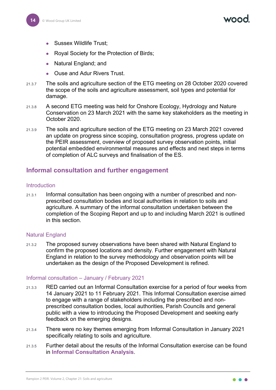- Sussex Wildlife Trust;
- Royal Society for the Protection of Birds;
- Natural England; and
- Ouse and Adur Rivers Trust.
- 21.3.7 The soils and agriculture section of the ETG meeting on 28 October 2020 covered the scope of the soils and agriculture assessment, soil types and potential for damage.
- 21.3.8 A second ETG meeting was held for Onshore Ecology, Hydrology and Nature Conservation on 23 March 2021 with the same key stakeholders as the meeting in October 2020.
- 21.3.9 The soils and agriculture section of the ETG meeting on 23 March 2021 covered an update on progress since scoping, consultation progress, progress update on the PEIR assessment, overview of proposed survey observation points, initial potential embedded environmental measures and effects and next steps in terms of completion of ALC surveys and finalisation of the ES.

#### <span id="page-14-0"></span>**Informal consultation and further engagement**

#### **Introduction**

21.3.1 Informal consultation has been ongoing with a number of prescribed and nonprescribed consultation bodies and local authorities in relation to soils and agriculture. A summary of the informal consultation undertaken between the completion of the Scoping Report and up to and including March 2021 is outlined in this section.

#### Natural England

21.3.2 The proposed survey observations have been shared with Natural England to confirm the proposed locations and density. Further engagement with Natural England in relation to the survey methodology and observation points will be undertaken as the design of the Proposed Development is refined.

#### Informal consultation – January / February 2021

- 21.3.3 RED carried out an Informal Consultation exercise for a period of four weeks from 14 January 2021 to 11 February 2021. This Informal Consultation exercise aimed to engage with a range of stakeholders including the prescribed and nonprescribed consultation bodies, local authorities, Parish Councils and general public with a view to introducing the Proposed Development and seeking early feedback on the emerging designs.
- 21.3.4 There were no key themes emerging from Informal Consultation in January 2021 specifically relating to soils and agriculture.
- 21.3.5 Further detail about the results of the Informal Consultation exercise can be found in **Informal Consultation Analysis**.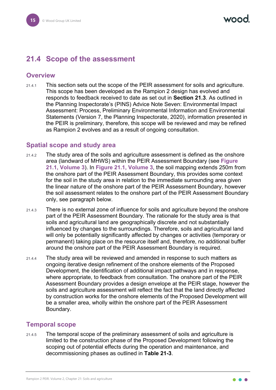# <span id="page-15-0"></span>**21.4 Scope of the assessment**

#### <span id="page-15-1"></span>**Overview**

21.4.1 This section sets out the scope of the PEIR assessment for soils and agriculture. This scope has been developed as the Rampion 2 design has evolved and responds to feedback received to date as set out in **Section [21.3](#page-10-1)**. As outlined in the Planning Inspectorate's (PINS) Advice Note Seven: Environmental Impact Assessment: Process, Preliminary Environmental Information and Environmental Statements (Version 7, the Planning Inspectorate, 2020), information presented in the PEIR is preliminary, therefore, this scope will be reviewed and may be refined as Rampion 2 evolves and as a result of ongoing consultation.

#### <span id="page-15-2"></span>**Spatial scope and study area**

- 21.4.2 The study area of the soils and agriculture assessment is defined as the onshore area (landward of MHWS) within the PEIR Assessment Boundary (see **Figure 21.1, Volume 3**). In **Figure 21.1, Volume 3**, the soil mapping extends 250m from the onshore part of the PEIR Assessment Boundary, this provides some context for the soil in the study area in relation to the immediate surrounding area given the linear nature of the onshore part of the PEIR Assessment Boundary, however the soil assessment relates to the onshore part of the PEIR Assessment Boundary only, see paragraph below.
- 21.4.3 There is no external zone of influence for soils and agriculture beyond the onshore part of the PEIR Assessment Boundary. The rationale for the study area is that soils and agricultural land are geographically discrete and not substantially influenced by changes to the surroundings. Therefore, soils and agricultural land will only be potentially significantly affected by changes or activities (temporary or permanent) taking place on the resource itself and, therefore, no additional buffer around the onshore part of the PEIR Assessment Boundary is required.
- 21.4.4 The study area will be reviewed and amended in response to such matters as ongoing iterative design refinement of the onshore elements of the Proposed Development, the identification of additional impact pathways and in response, where appropriate, to feedback from consultation. The onshore part of the PEIR Assessment Boundary provides a design envelope at the PEIR stage, however the soils and agriculture assessment will reflect the fact that the land directly affected by construction works for the onshore elements of the Proposed Development will be a smaller area, wholly within the onshore part of the PEIR Assessment Boundary.

#### <span id="page-15-3"></span>**Temporal scope**

21.4.5 The temporal scope of the preliminary assessment of soils and agriculture is limited to the construction phase of the Proposed Development following the scoping out of potential effects during the operation and maintenance, and decommissioning phases as outlined in **[Table 21-3](#page-11-1)**.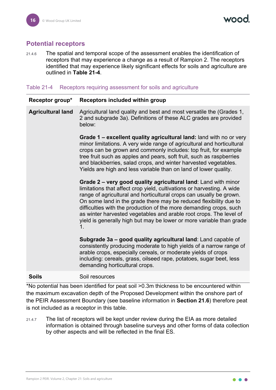# <span id="page-16-0"></span>**Potential receptors**

21.4.6 The spatial and temporal scope of the assessment enables the identification of receptors that may experience a change as a result of Rampion 2. The receptors identified that may experience likely significant effects for soils and agriculture are outlined in **[Table 21-4](#page-16-1)**.

#### <span id="page-16-1"></span>Table 21-4 Receptors requiring assessment for soils and agriculture

| Receptor group*          | Receptors included within group                                                                                                                                                                                                                                                                                                                                                                                                                                                                                |
|--------------------------|----------------------------------------------------------------------------------------------------------------------------------------------------------------------------------------------------------------------------------------------------------------------------------------------------------------------------------------------------------------------------------------------------------------------------------------------------------------------------------------------------------------|
| <b>Agricultural land</b> | Agricultural land quality and best and most versatile the (Grades 1,<br>2 and subgrade 3a). Definitions of these ALC grades are provided<br>below:                                                                                                                                                                                                                                                                                                                                                             |
|                          | Grade 1 – excellent quality agricultural land: land with no or very<br>minor limitations. A very wide range of agricultural and horticultural<br>crops can be grown and commonly includes: top fruit, for example<br>tree fruit such as apples and pears, soft fruit, such as raspberries<br>and blackberries, salad crops, and winter harvested vegetables.<br>Yields are high and less variable than on land of lower quality.                                                                               |
|                          | Grade 2 - very good quality agricultural land: Land with minor<br>limitations that affect crop yield, cultivations or harvesting. A wide<br>range of agricultural and horticultural crops can usually be grown.<br>On some land in the grade there may be reduced flexibility due to<br>difficulties with the production of the more demanding crops, such<br>as winter harvested vegetables and arable root crops. The level of<br>yield is generally high but may be lower or more variable than grade<br>1. |
|                          | Subgrade 3a - good quality agricultural land: Land capable of<br>consistently producing moderate to high yields of a narrow range of<br>arable crops, especially cereals, or moderate yields of crops<br>including: cereals, grass, oilseed rape, potatoes, sugar beet, less<br>demanding horticultural crops.                                                                                                                                                                                                 |
| <b>Soils</b>             | Soil resources                                                                                                                                                                                                                                                                                                                                                                                                                                                                                                 |

\*No potential has been identified for peat soil >0.3m thickness to be encountered within the maximum excavation depth of the Proposed Development within the onshore part of the PEIR Assessment Boundary (see baseline information in **Section [21.6](#page-21-1)**) therefore peat is not included as a receptor in this table.

21.4.7 The list of receptors will be kept under review during the EIA as more detailed information is obtained through baseline surveys and other forms of data collection by other aspects and will be reflected in the final ES.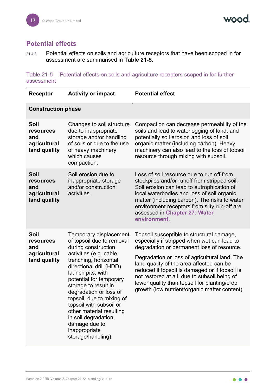

## <span id="page-17-0"></span>**Potential effects**

21.4.8 Potential effects on soils and agriculture receptors that have been scoped in for assessment are summarised in **[Table 21-5](#page-17-1)**.

<span id="page-17-1"></span>Table 21-5 Potential effects on soils and agriculture receptors scoped in for further assessment

| <b>Receptor</b>                                                 | <b>Activity or impact</b>                                                                                                                                                                                                                                                                                                                                                                                                      | <b>Potential effect</b>                                                                                                                                                                                                                                                                                                                                                                                                                |
|-----------------------------------------------------------------|--------------------------------------------------------------------------------------------------------------------------------------------------------------------------------------------------------------------------------------------------------------------------------------------------------------------------------------------------------------------------------------------------------------------------------|----------------------------------------------------------------------------------------------------------------------------------------------------------------------------------------------------------------------------------------------------------------------------------------------------------------------------------------------------------------------------------------------------------------------------------------|
| <b>Construction phase</b>                                       |                                                                                                                                                                                                                                                                                                                                                                                                                                |                                                                                                                                                                                                                                                                                                                                                                                                                                        |
| Soil<br>resources<br>and<br>agricultural<br>land quality        | Changes to soil structure<br>due to inappropriate<br>storage and/or handling<br>of soils or due to the use<br>of heavy machinery<br>which causes<br>compaction.                                                                                                                                                                                                                                                                | Compaction can decrease permeability of the<br>soils and lead to waterlogging of land, and<br>potentially soil erosion and loss of soil<br>organic matter (including carbon). Heavy<br>machinery can also lead to the loss of topsoil<br>resource through mixing with subsoil.                                                                                                                                                         |
| Soil<br>resources<br>and<br>agricultural<br>land quality        | Soil erosion due to<br>inappropriate storage<br>and/or construction<br>activities.                                                                                                                                                                                                                                                                                                                                             | Loss of soil resource due to run off from<br>stockpiles and/or runoff from stripped soil.<br>Soil erosion can lead to eutrophication of<br>local waterbodies and loss of soil organic<br>matter (including carbon). The risks to water<br>environment receptors from silty run-off are<br>assessed in Chapter 27: Water<br>environment.                                                                                                |
| Soil<br><b>resources</b><br>and<br>agricultural<br>land quality | Temporary displacement<br>of topsoil due to removal<br>during construction<br>activities (e.g. cable<br>trenching, horizontal<br>directional drill (HDD)<br>launch pits, with<br>potential for temporary<br>storage to result in<br>degradation or loss of<br>topsoil, due to mixing of<br>topsoil with subsoil or<br>other material resulting<br>in soil degradation,<br>damage due to<br>inappropriate<br>storage/handling). | Topsoil susceptible to structural damage,<br>especially if stripped when wet can lead to<br>degradation or permanent loss of resource.<br>Degradation or loss of agricultural land. The<br>land quality of the area affected can be<br>reduced if topsoil is damaged or if topsoil is<br>not restored at all, due to subsoil being of<br>lower quality than topsoil for planting/crop<br>growth (low nutrient/organic matter content). |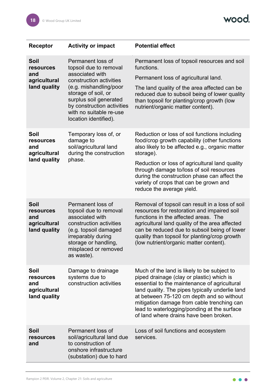wood.

| Receptor                                                               | <b>Activity or impact</b>                                                                                                                                                                                                                              | <b>Potential effect</b>                                                                                                                                                                                                                                                                                                                                                            |
|------------------------------------------------------------------------|--------------------------------------------------------------------------------------------------------------------------------------------------------------------------------------------------------------------------------------------------------|------------------------------------------------------------------------------------------------------------------------------------------------------------------------------------------------------------------------------------------------------------------------------------------------------------------------------------------------------------------------------------|
| <b>Soil</b><br><b>resources</b><br>and<br>agricultural<br>land quality | Permanent loss of<br>topsoil due to removal<br>associated with<br>construction activities<br>(e.g. mishandling/poor<br>storage of soil, or<br>surplus soil generated<br>by construction activities<br>with no suitable re-use<br>location identified). | Permanent loss of topsoil resources and soil<br>functions.<br>Permanent loss of agricultural land.<br>The land quality of the area affected can be<br>reduced due to subsoil being of lower quality<br>than topsoil for planting/crop growth (low<br>nutrient/organic matter content).                                                                                             |
| Soil<br>resources<br>and<br>agricultural<br>land quality               | Temporary loss of, or<br>damage to<br>soil/agricultural land<br>during the construction<br>phase.                                                                                                                                                      | Reduction or loss of soil functions including<br>food/crop growth capability (other functions<br>also likely to be affected e.g., organic matter<br>storage).<br>Reduction or loss of agricultural land quality<br>through damage to/loss of soil resources<br>during the construction phase can affect the<br>variety of crops that can be grown and<br>reduce the average yield. |
| Soil<br>resources<br>and<br>agricultural<br>land quality               | Permanent loss of<br>topsoil due to removal<br>associated with<br>construction activities<br>(e.g. topsoil damaged<br>irreparably during<br>storage or handling,<br>misplaced or removed<br>as waste).                                                 | Removal of topsoil can result in a loss of soil<br>resources for restoration and impaired soil<br>functions in the affected areas. The<br>agricultural land quality of the area affected<br>can be reduced due to subsoil being of lower<br>quality than topsoil for planting/crop growth<br>(low nutrient/organic matter content).                                                |
| Soil<br>resources<br>and<br>agricultural<br>land quality               | Damage to drainage<br>systems due to<br>construction activities                                                                                                                                                                                        | Much of the land is likely to be subject to<br>piped drainage (clay or plastic) which is<br>essential to the maintenance of agricultural<br>land quality. The pipes typically underlie land<br>at between 75-120 cm depth and so without<br>mitigation damage from cable trenching can<br>lead to waterlogging/ponding at the surface<br>of land where drains have been broken.    |
| <b>Soil</b><br><b>resources</b><br>and                                 | Permanent loss of<br>soil/agricultural land due<br>to construction of<br>onshore infrastructure<br>(substation) due to hard                                                                                                                            | Loss of soil functions and ecosystem<br>services.                                                                                                                                                                                                                                                                                                                                  |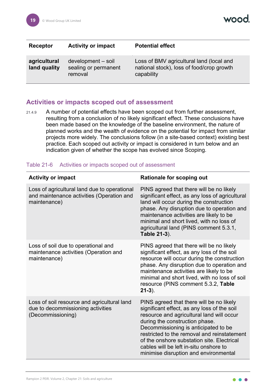vood

| Receptor                     | <b>Activity or impact</b>                             | <b>Potential effect</b>                                                                             |
|------------------------------|-------------------------------------------------------|-----------------------------------------------------------------------------------------------------|
| agricultural<br>land quality | development - soil<br>sealing or permanent<br>removal | Loss of BMV agricultural land (local and<br>national stock), loss of food/crop growth<br>capability |

#### <span id="page-19-0"></span>**Activities or impacts scoped out of assessment**

21.4.9 A number of potential effects have been scoped out from further assessment, resulting from a conclusion of no likely significant effect. These conclusions have been made based on the knowledge of the baseline environment, the nature of planned works and the wealth of evidence on the potential for impact from similar projects more widely. The conclusions follow (in a site-based context) existing best practice. Each scoped out activity or impact is considered in turn below and an indication given of whether the scope has evolved since Scoping.

#### Table 21-6 Activities or impacts scoped out of assessment

| <b>Activity or impact</b>                                                                                 | <b>Rationale for scoping out</b>                                                                                                                                                                                                                                                                                                                                                               |
|-----------------------------------------------------------------------------------------------------------|------------------------------------------------------------------------------------------------------------------------------------------------------------------------------------------------------------------------------------------------------------------------------------------------------------------------------------------------------------------------------------------------|
| Loss of agricultural land due to operational<br>and maintenance activities (Operation and<br>maintenance) | PINS agreed that there will be no likely<br>significant effect, as any loss of agricultural<br>land will occur during the construction<br>phase. Any disruption due to operation and<br>maintenance activities are likely to be<br>minimal and short lived, with no loss of<br>agricultural land (PINS comment 5.3.1,<br>Table 21-3).                                                          |
| Loss of soil due to operational and<br>maintenance activities (Operation and<br>maintenance)              | PINS agreed that there will be no likely<br>significant effect, as any loss of the soil<br>resource will occur during the construction<br>phase. Any disruption due to operation and<br>maintenance activities are likely to be<br>minimal and short lived, with no loss of soil<br>resource (PINS comment 5.3.2, Table<br>$21-3$ ).                                                           |
| Loss of soil resource and agricultural land<br>due to decommissioning activities<br>(Decommissioning)     | PINS agreed that there will be no likely<br>significant effect, as any loss of the soil<br>resource and agricultural land will occur<br>during the construction phase.<br>Decommissioning is anticipated to be<br>restricted to the removal and reinstatement<br>of the onshore substation site. Electrical<br>cables will be left in-situ onshore to<br>minimise disruption and environmental |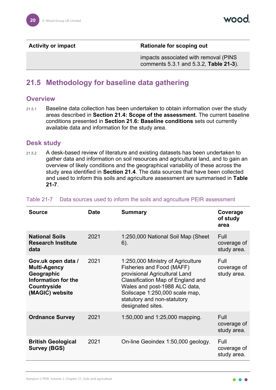**Activity or impact <b>Rationale For scoping out** 

impacts associated with removal (PINS comments 5.3.1 and 5.3.2, **[Table 21-3](#page-11-1)**).

# <span id="page-20-0"></span>**21.5 Methodology for baseline data gathering**

#### <span id="page-20-1"></span>**Overview**

21.5.1 Baseline data collection has been undertaken to obtain information over the study areas described in **Section [21.4:](#page-15-0) Scope of the assessment**. The current baseline conditions presented in **Section [21.6:](#page-21-1) Baseline conditions** sets out currently available data and information for the study area.

#### <span id="page-20-2"></span>**Desk study**

21.5.2 A desk-based review of literature and existing datasets has been undertaken to gather data and information on soil resources and agricultural land, and to gain an overview of likely conditions and the geographical variability of these across the study area identified in **Section [21.4](#page-15-0)**. The data sources that have been collected and used to inform this soils and agriculture assessment are summarised in **[Table](#page-20-3)  [21-7](#page-20-3)**.

| Source                                                                                                           | <b>Date</b> | <b>Summary</b>                                                                                                                                                                                                                                              | Coverage<br>of study<br>area       |
|------------------------------------------------------------------------------------------------------------------|-------------|-------------------------------------------------------------------------------------------------------------------------------------------------------------------------------------------------------------------------------------------------------------|------------------------------------|
| <b>National Soils</b><br><b>Research Institute</b><br>data                                                       | 2021        | 1:250,000 National Soil Map (Sheet<br>$6)$ .                                                                                                                                                                                                                | Full<br>coverage of<br>study area. |
| Gov.uk open data /<br><b>Multi-Agency</b><br>Geographic<br>Information for the<br>Countryside<br>(MAGIC) website | 2021        | 1:250,000 Ministry of Agriculture<br>Fisheries and Food (MAFF)<br>provisional Agricultural Land<br>Classification Map of England and<br>Wales and post-1988 ALC data,<br>Soilscape 1:250,000 scale map,<br>statutory and non-statutory<br>designated sites. | Full<br>coverage of<br>study area. |
| <b>Ordnance Survey</b>                                                                                           | 2021        | 1:50,000 and 1:25,000 mapping.                                                                                                                                                                                                                              | Full<br>coverage of<br>study area. |
| <b>British Geological</b><br><b>Survey (BGS)</b>                                                                 | 2021        | On-line Geoindex 1:50,000 geology.                                                                                                                                                                                                                          | Full<br>coverage of<br>study area. |

#### <span id="page-20-3"></span>Table 21-7 Data sources used to inform the soils and agriculture PEIR assessment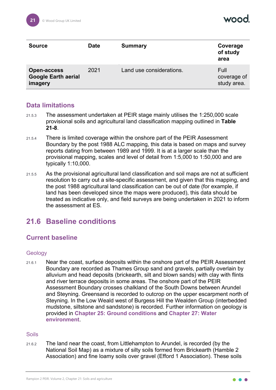| <b>Source</b>                                               | <b>Date</b> | <b>Summary</b>           | Coverage<br>of study<br>area       |
|-------------------------------------------------------------|-------------|--------------------------|------------------------------------|
| <b>Open-access</b><br><b>Google Earth aerial</b><br>imagery | 2021        | Land use considerations. | Full<br>coverage of<br>study area. |

### <span id="page-21-0"></span>**Data limitations**

- 21.5.3 The assessment undertaken at PEIR stage mainly utilises the 1:250,000 scale provisional soils and agricultural land classification mapping outlined in **[Table](#page-24-3)  [21-8](#page-24-3)**.
- 21.5.4 There is limited coverage within the onshore part of the PEIR Assessment Boundary by the post 1988 ALC mapping, this data is based on maps and survey reports dating from between 1989 and 1999. It is at a larger scale than the provisional mapping, scales and level of detail from 1:5,000 to 1:50,000 and are typically 1:10,000.
- 21.5.5 As the provisional agricultural land classification and soil maps are not at sufficient resolution to carry out a site-specific assessment, and given that this mapping, and the post 1988 agricultural land classification can be out of date (for example, if land has been developed since the maps were produced), this data should be treated as indicative only, and field surveys are being undertaken in 2021 to inform the assessment at ES.

# <span id="page-21-1"></span>**21.6 Baseline conditions**

# <span id="page-21-2"></span>**Current baseline**

#### **Geology**

21.6.1 Near the coast, surface deposits within the onshore part of the PEIR Assessment Boundary are recorded as Thames Group sand and gravels, partially overlain by alluvium and head deposits (brickearth, silt and blown sands) with clay with flints and river terrace deposits in some areas. The onshore part of the PEIR Assessment Boundary crosses chalkland of the South Downs between Arundel and Steyning. Greensand is recorded to outcrop on the upper escarpment north of Steyning. In the Low Weald west of Burgess Hill the Wealden Group (interbedded mudstone, siltstone and sandstone) is recorded. Further information on geology is provided in **Chapter 25: Ground conditions** and **Chapter 27: Water environment**.

#### Soils

21.6.2 The land near the coast, from Littlehampton to Arundel, is recorded (by the National Soil Map) as a mixture of silty soils formed from Brickearth (Hamble 2 Association) and fine loamy soils over gravel (Efford 1 Association). These soils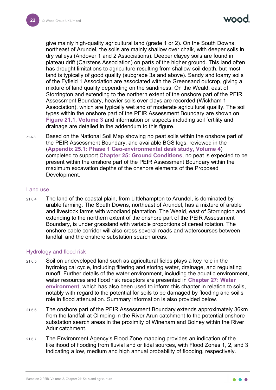naad

give mainly high-quality agricultural land (grade 1 or 2). On the South Downs, northeast of Arundel, the soils are mainly shallow over chalk, with deeper soils in dry valleys (Andover 1 and 2 Associations). Deeper clayey soils are found in plateau drift (Carstens Association) on parts of the higher ground. This land often has drought limitations to agriculture resulting from shallow soil depth, but most land is typically of good quality (subgrade 3a and above). Sandy and loamy soils of the Fyfield 1 Association are associated with the Greensand outcrop, giving a mixture of land quality depending on the sandiness. On the Weald, east of Storrington and extending to the northern extent of the onshore part of the PEIR Assessment Boundary, heavier soils over clays are recorded (Wickham 1 Association), which are typically wet and of moderate agricultural quality. The soil types within the onshore part of the PEIR Assessment Boundary are shown on **Figure 21.1, Volume 3** and information on aspects including soil fertility and drainage are detailed in the addendum to this figure.

21.6.3 Based on the National Soil Map showing no peat soils within the onshore part of the PEIR Assessment Boundary, and available BGS logs, reviewed in the (**Appendix 25.1: Phase 1 Geo-environmental desk study, Volume 4**) completed to support **Chapter 25: Ground Conditions**, no peat is expected to be present within the onshore part of the PEIR Assessment Boundary within the maximum excavation depths of the onshore elements of the Proposed Development.

#### Land use

21.6.4 The land of the coastal plain, from Littlehampton to Arundel, is dominated by arable farming. The South Downs, northeast of Arundel, has a mixture of arable and livestock farms with woodland plantation. The Weald, east of Storrington and extending to the northern extent of the onshore part of the PEIR Assessment Boundary, is under grassland with variable proportions of cereal rotation. The onshore cable corridor will also cross several roads and watercourses between landfall and the onshore substation search areas.

#### Hydrology and flood risk

- 21.6.5 Soil on undeveloped land such as agricultural fields plays a key role in the hydrological cycle, including filtering and storing water, drainage, and regulating runoff. Further details of the water environment, including the aquatic environment, water resources and flood risk receptors are presented in **Chapter 27: Water environment**, which has also been used to inform this chapter in relation to soils, notably with regard to the potential for soils to be damaged by flooding and soil's role in flood attenuation. Summary information is also provided below.
- 21.6.6 The onshore part of the PEIR Assessment Boundary extends approximately 36km from the landfall at Climping in the River Arun catchment to the potential onshore substation search areas in the proximity of Wineham and Bolney within the River Adur catchment.
- 21.6.7 The Environment Agency's Flood Zone mapping provides an indication of the likelihood of flooding from fluvial and or tidal sources, with Flood Zones 1, 2, and 3 indicating a low, medium and high annual probability of flooding, respectively.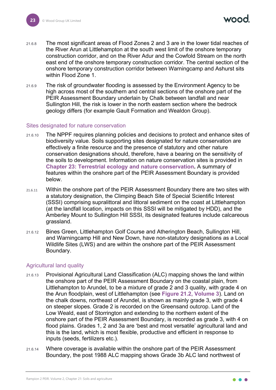$\bm{r}$ 

- 21.6.8 The most significant areas of Flood Zones 2 and 3 are in the lower tidal reaches of the River Arun at Littlehampton at the south west limit of the onshore temporary construction corridor, and on the River Adur and the Cowfold Stream on the north east end of the onshore temporary construction corridor. The central section of the onshore temporary construction corridor between Warningcamp and Ashurst sits within Flood Zone 1.
- 21.6.9 The risk of groundwater flooding is assessed by the Environment Agency to be high across most of the southern and central sections of the onshore part of the PEIR Assessment Boundary underlain by Chalk between landfall and near Sullington Hill, the risk is lower in the north eastern section where the bedrock geology differs (for example Gault Formation and Wealdon Group).

#### Sites designated for nature conservation

- 21.6.10 The NPPF requires planning policies and decisions to protect and enhance sites of biodiversity value. Soils supporting sites designated for nature conservation are effectively a finite resource and the presence of statutory and other nature conservation designations should, therefore, have a bearing on the sensitivity of the soils to development. Information on nature conservation sites is provided in **Chapter 23: Terrestrial ecology and nature conservation.** A summary of features within the onshore part of the PEIR Assessment Boundary is provided below.
- 21.6.11 Within the onshore part of the PEIR Assessment Boundary there are two sites with a statutory designation, the Climping Beach Site of Special Scientific Interest (SSSI) comprising supralittoral and littoral sediment on the coast at Littlehampton (at the landfall location, impacts on this SSSI will be mitigated by HDD), and the Amberley Mount to Sullington Hill SSSI, its designated features include calcareous grassland.
- 21.6.12 Bines Green, Littlehampton Golf Course and Atherington Beach, Sullington Hill, and Warningcamp Hill and New Down, have non-statutory designations as a Local Wildlife Sites (LWS) and are within the onshore part of the PEIR Assessment Boundary.

#### Agricultural land quality

- 21.6.13 Provisional Agricultural Land Classification (ALC) mapping shows the land within the onshore part of the PEIR Assessment Boundary on the coastal plain, from Littlehampton to Arundel, to be a mixture of grade 2 and 3 quality, with grade 4 on the Arun floodplain, west of Littlehampton (see **Figure 21.2, Volume 3**). Land on the chalk downs, northeast of Arundel, is shown as mainly grade 3, with grade 4 on steeper slopes. Grade 2 is recorded on the Greensand outcrop. Land of the Low Weald, east of Storrington and extending to the northern extent of the onshore part of the PEIR Assessment Boundary, is recorded as grade 3, with 4 on flood plains. Grades 1, 2 and 3a are 'best and most versatile' agricultural land and this is the land, which is most flexible, productive and efficient in response to inputs (seeds, fertilizers etc.).
- 21.6.14 Where coverage is available within the onshore part of the PEIR Assessment Boundary, the post 1988 ALC mapping shows Grade 3b ALC land northwest of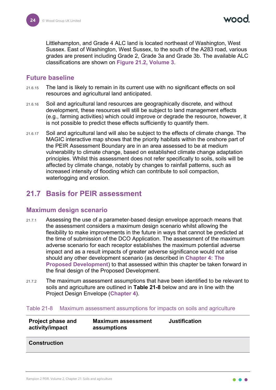naad

Littlehampton, and Grade 4 ALC land is located northeast of Washington, West Sussex. East of Washington, West Sussex, to the south of the A283 road, various grades are present including Grade 2, Grade 3a and Grade 3b. The available ALC classifications are shown on **Figure 21.2, Volume 3**.

#### <span id="page-24-0"></span>**Future baseline**

- 21.6.15 The land is likely to remain in its current use with no significant effects on soil resources and agricultural land anticipated.
- 21.6.16 Soil and agricultural land resources are geographically discrete, and without development, these resources will still be subject to land management effects (e.g., farming activities) which could improve or degrade the resource, however, it is not possible to predict these effects sufficiently to quantify them.
- 21.6.17 Soil and agricultural land will also be subject to the effects of climate change. The MAGIC interactive map shows that the priority habitats within the onshore part of the PEIR Assessment Boundary are in an area assessed to be at medium vulnerability to climate change, based on established climate change adaptation principles. Whilst this assessment does not refer specifically to soils, soils will be affected by climate change, notably by changes to rainfall patterns, such as increased intensity of flooding which can contribute to soil compaction, waterlogging and erosion.

# <span id="page-24-1"></span>**21.7 Basis for PEIR assessment**

#### <span id="page-24-2"></span>**Maximum design scenario**

- 21.7.1 Assessing the use of a parameter-based design envelope approach means that the assessment considers a maximum design scenario whilst allowing the flexibility to make improvements in the future in ways that cannot be predicted at the time of submission of the DCO Application. The assessment of the maximum adverse scenario for each receptor establishes the maximum potential adverse impact and as a result impacts of greater adverse significance would not arise should any other development scenario (as described in **Chapter 4: The Proposed Development**) to that assessed within this chapter be taken forward in the final design of the Proposed Development.
- 21.7.2 The maximum assessment assumptions that have been identified to be relevant to soils and agriculture are outlined in **[Table 21-8](#page-24-3)** below and are in line with the Project Design Envelope (**Chapter 4**).

#### <span id="page-24-3"></span>Table 21-8 Maximum assessment assumptions for impacts on soils and agriculture

| <b>Project phase and</b><br>activity/impact | <b>Maximum assessment</b><br>assumptions | <b>Justification</b> |
|---------------------------------------------|------------------------------------------|----------------------|
|---------------------------------------------|------------------------------------------|----------------------|

#### **Construction**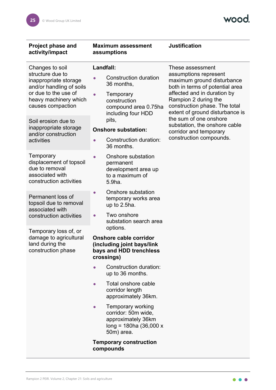wood.

| <b>Project phase and</b><br>activity/impact                                                                                                                    | <b>Maximum assessment</b><br>assumptions                                                                                           | <b>Justification</b>                                                                                                                                                                                                                  |
|----------------------------------------------------------------------------------------------------------------------------------------------------------------|------------------------------------------------------------------------------------------------------------------------------------|---------------------------------------------------------------------------------------------------------------------------------------------------------------------------------------------------------------------------------------|
| Changes to soil<br>structure due to<br>inappropriate storage<br>and/or handling of soils<br>or due to the use of<br>heavy machinery which<br>causes compaction | Landfall:<br><b>Construction duration</b><br>36 months,<br>Temporary<br>construction<br>compound area 0.75ha<br>including four HDD | These assessment<br>assumptions represent<br>maximum ground disturbance<br>both in terms of potential area<br>affected and in duration by<br>Rampion 2 during the<br>construction phase. The total<br>extent of ground disturbance is |
| Soil erosion due to<br>inappropriate storage<br>and/or construction<br>activities                                                                              | pits,<br><b>Onshore substation:</b><br>Construction duration:<br>36 months.                                                        | the sum of one onshore<br>substation, the onshore cable<br>corridor and temporary<br>construction compounds.                                                                                                                          |
| Temporary<br>displacement of topsoil<br>due to removal<br>associated with<br>construction activities                                                           | Onshore substation<br>permanent<br>development area up<br>to a maximum of<br>5.9ha.                                                |                                                                                                                                                                                                                                       |
| Permanent loss of<br>topsoil due to removal<br>associated with<br>construction activities                                                                      | Onshore substation<br>$\bullet$<br>temporary works area<br>up to 2.5ha.<br>Two onshore<br>$\bullet$<br>substation search area      |                                                                                                                                                                                                                                       |
| Temporary loss of, or<br>damage to agricultural<br>land during the<br>construction phase                                                                       | options.<br><b>Onshore cable corridor</b><br>(including joint bays/link<br>bays and HDD trenchless<br>crossings)                   |                                                                                                                                                                                                                                       |
|                                                                                                                                                                | Construction duration:<br>$\bullet$<br>up to 36 months.                                                                            |                                                                                                                                                                                                                                       |
|                                                                                                                                                                | Total onshore cable<br>$\bullet$<br>corridor length<br>approximately 36km.                                                         |                                                                                                                                                                                                                                       |
|                                                                                                                                                                | <b>Temporary working</b><br>$\bullet$<br>corridor: 50m wide,<br>approximately 36km<br>$long = 180$ ha (36,000 x<br>50m) area.      |                                                                                                                                                                                                                                       |
|                                                                                                                                                                | <b>Temporary construction</b><br>compounds                                                                                         |                                                                                                                                                                                                                                       |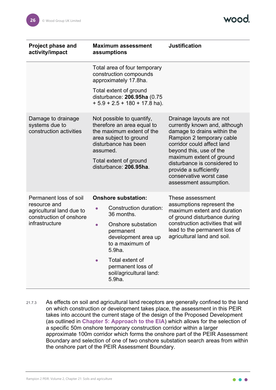| <b>Project phase and</b><br>activity/impact                         | <b>Maximum assessment</b><br>assumptions                                                                                                           | <b>Justification</b>                                                                                                                                                                                                                                                                                                      |  |
|---------------------------------------------------------------------|----------------------------------------------------------------------------------------------------------------------------------------------------|---------------------------------------------------------------------------------------------------------------------------------------------------------------------------------------------------------------------------------------------------------------------------------------------------------------------------|--|
|                                                                     | Total area of four temporary<br>construction compounds<br>approximately 17.8ha.                                                                    |                                                                                                                                                                                                                                                                                                                           |  |
|                                                                     | Total extent of ground<br>disturbance: 206.95ha (0.75<br>$+5.9 + 2.5 + 180 + 17.8$ ha).                                                            |                                                                                                                                                                                                                                                                                                                           |  |
| Damage to drainage<br>systems due to<br>construction activities     | Not possible to quantify,<br>therefore an area equal to<br>the maximum extent of the<br>area subject to ground<br>disturbance has been<br>assumed. | Drainage layouts are not<br>currently known and, although<br>damage to drains within the<br>Rampion 2 temporary cable<br>corridor could affect land<br>beyond this, use of the<br>maximum extent of ground<br>disturbance is considered to<br>provide a sufficiently<br>conservative worst case<br>assessment assumption. |  |
|                                                                     | Total extent of ground<br>disturbance: 206.95ha.                                                                                                   |                                                                                                                                                                                                                                                                                                                           |  |
| Permanent loss of soil                                              | <b>Onshore substation:</b>                                                                                                                         | These assessment                                                                                                                                                                                                                                                                                                          |  |
| resource and<br>agricultural land due to<br>construction of onshore | Construction duration:<br>36 months.                                                                                                               | assumptions represent the<br>maximum extent and duration<br>of ground disturbance during                                                                                                                                                                                                                                  |  |
| infrastructure                                                      | Onshore substation<br>$\bullet$<br>permanent<br>development area up<br>to a maximum of<br>5.9ha.                                                   | construction activities that will<br>lead to the permanent loss of<br>agricultural land and soil.                                                                                                                                                                                                                         |  |
|                                                                     | Total extent of<br>permanent loss of<br>soil/agricultural land:<br>5.9ha.                                                                          |                                                                                                                                                                                                                                                                                                                           |  |

21.7.3 As effects on soil and agricultural land receptors are generally confined to the land on which construction or development takes place, the assessment in this PEIR takes into account the current stage of the design of the Proposed Development (as outlined in **Chapter 5: Approach to the EIA**) which allows for the selection of a specific 50m onshore temporary construction corridor within a larger approximate 100m corridor which forms the onshore part of the PEIR Assessment Boundary and selection of one of two onshore substation search areas from within the onshore part of the PEIR Assessment Boundary.

 $\bullet$   $\bullet$   $\bullet$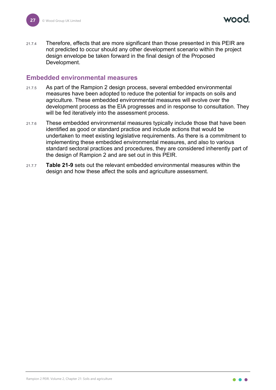21.7.4 Therefore, effects that are more significant than those presented in this PEIR are not predicted to occur should any other development scenario within the project design envelope be taken forward in the final design of the Proposed Development.

#### <span id="page-27-0"></span>**Embedded environmental measures**

- 21.7.5 As part of the Rampion 2 design process, several embedded environmental measures have been adopted to reduce the potential for impacts on soils and agriculture. These embedded environmental measures will evolve over the development process as the EIA progresses and in response to consultation. They will be fed iteratively into the assessment process.
- 21.7.6 These embedded environmental measures typically include those that have been identified as good or standard practice and include actions that would be undertaken to meet existing legislative requirements. As there is a commitment to implementing these embedded environmental measures, and also to various standard sectoral practices and procedures, they are considered inherently part of the design of Rampion 2 and are set out in this PEIR.
- 21.7.7 **[Table 21-9](#page-28-0)** sets out the relevant embedded environmental measures within the design and how these affect the soils and agriculture assessment.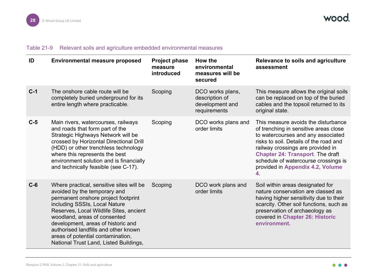#### Table 21-9 Relevant soils and agriculture embedded environmental measures

<span id="page-28-0"></span>

| ID    | <b>Environmental measure proposed</b>                                                                                                                                                                                                                                                                                                                                                    | <b>Project phase</b><br>measure<br>introduced | How the<br>environmental<br>measures will be<br>secured               | Relevance to soils and agriculture<br>assessment                                                                                                                                                                                                                                                                               |
|-------|------------------------------------------------------------------------------------------------------------------------------------------------------------------------------------------------------------------------------------------------------------------------------------------------------------------------------------------------------------------------------------------|-----------------------------------------------|-----------------------------------------------------------------------|--------------------------------------------------------------------------------------------------------------------------------------------------------------------------------------------------------------------------------------------------------------------------------------------------------------------------------|
| $C-1$ | The onshore cable route will be<br>completely buried underground for its<br>entire length where practicable.                                                                                                                                                                                                                                                                             | Scoping                                       | DCO works plans,<br>description of<br>development and<br>requirements | This measure allows the original soils<br>can be replaced on top of the buried<br>cables and the topsoil returned to its<br>original state.                                                                                                                                                                                    |
| $C-5$ | Main rivers, watercourses, railways<br>and roads that form part of the<br>Strategic Highways Network will be<br>crossed by Horizontal Directional Drill<br>(HDD) or other trenchless technology<br>where this represents the best<br>environment solution and is financially<br>and technically feasible (see C-17).                                                                     | Scoping                                       | DCO works plans and<br>order limits                                   | This measure avoids the disturbance<br>of trenching in sensitive areas close<br>to watercourses and any associated<br>risks to soil. Details of the road and<br>railway crossings are provided in<br><b>Chapter 24: Transport. The draft</b><br>schedule of watercourse crossings is<br>provided in Appendix 4.2, Volume<br>4. |
| $C-6$ | Where practical, sensitive sites will be<br>avoided by the temporary and<br>permanent onshore project footprint<br>including SSSIs, Local Nature<br>Reserves, Local Wildlife Sites, ancient<br>woodland, areas of consented<br>development, areas of historic and<br>authorised landfills and other known<br>areas of potential contamination,<br>National Trust Land, Listed Buildings, | Scoping                                       | DCO work plans and<br>order limits                                    | Soil within areas designated for<br>nature conservation are classed as<br>having higher sensitivity due to their<br>scarcity. Other soil functions, such as<br>preservation of archaeology as<br>covered in Chapter 26: Historic<br>environment                                                                                |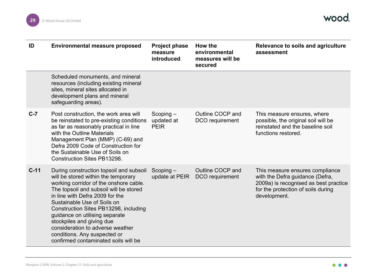

| ID     | <b>Environmental measure proposed</b>                                                                                                                                                                                                                                                                                                                                                                                                                    | <b>Project phase</b><br>measure<br>introduced | How the<br>environmental<br>measures will be<br>secured | Relevance to soils and agriculture<br>assessment                                                                                                                  |
|--------|----------------------------------------------------------------------------------------------------------------------------------------------------------------------------------------------------------------------------------------------------------------------------------------------------------------------------------------------------------------------------------------------------------------------------------------------------------|-----------------------------------------------|---------------------------------------------------------|-------------------------------------------------------------------------------------------------------------------------------------------------------------------|
|        | Scheduled monuments, and mineral<br>resources (including existing mineral<br>sites, mineral sites allocated in<br>development plans and mineral<br>safeguarding areas).                                                                                                                                                                                                                                                                                  |                                               |                                                         |                                                                                                                                                                   |
| $C-7$  | Post construction, the work area will<br>be reinstated to pre-existing conditions<br>as far as reasonably practical in line<br>with the Outline Materials<br>Management Plan (MMP) (C-69) and<br>Defra 2009 Code of Construction for<br>the Sustainable Use of Soils on<br><b>Construction Sites PB13298.</b>                                                                                                                                            | $Scoping -$<br>updated at<br><b>PEIR</b>      | Outline COCP and<br>DCO requirement                     | This measure ensures, where<br>possible, the original soil will be<br>reinstated and the baseline soil<br>functions restored.                                     |
| $C-11$ | During construction topsoil and subsoil<br>will be stored within the temporary<br>working corridor of the onshore cable.<br>The topsoil and subsoil will be stored<br>in line with Defra 2009 for the<br>Sustainable Use of Soils on<br>Construction Sites PB13298, including<br>guidance on utilising separate<br>stockpiles and giving due<br>consideration to adverse weather<br>conditions. Any suspected or<br>confirmed contaminated soils will be | $Scoping -$<br>update at PEIR                 | Outline COCP and<br>DCO requirement                     | This measure ensures compliance<br>with the Defra guidance (Defra,<br>2009a) is recognised as best practice<br>for the protection of soils during<br>development. |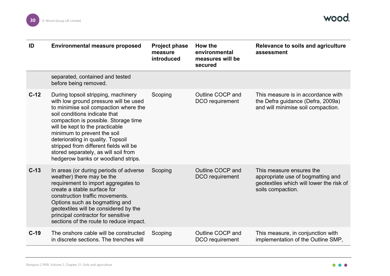

| ID     | <b>Environmental measure proposed</b>                                                                                                                                                                                                                                                                                                                                                                                         | <b>Project phase</b><br>measure<br>introduced | How the<br>environmental<br>measures will be<br>secured | Relevance to soils and agriculture<br>assessment                                                                               |
|--------|-------------------------------------------------------------------------------------------------------------------------------------------------------------------------------------------------------------------------------------------------------------------------------------------------------------------------------------------------------------------------------------------------------------------------------|-----------------------------------------------|---------------------------------------------------------|--------------------------------------------------------------------------------------------------------------------------------|
|        | separated, contained and tested<br>before being removed.                                                                                                                                                                                                                                                                                                                                                                      |                                               |                                                         |                                                                                                                                |
| $C-12$ | During topsoil stripping, machinery<br>with low ground pressure will be used<br>to minimise soil compaction where the<br>soil conditions indicate that<br>compaction is possible. Storage time<br>will be kept to the practicable<br>minimum to prevent the soil<br>deteriorating in quality. Topsoil<br>stripped from different fields will be<br>stored separately, as will soil from<br>hedgerow banks or woodland strips. | Scoping                                       | Outline COCP and<br>DCO requirement                     | This measure is in accordance with<br>the Defra guidance (Defra, 2009a)<br>and will minimise soil compaction.                  |
| $C-13$ | In areas (or during periods of adverse<br>weather) there may be the<br>requirement to import aggregates to<br>create a stable surface for<br>construction traffic movements.<br>Options such as bogmatting and<br>geotextiles will be considered by the<br>principal contractor for sensitive<br>sections of the route to reduce impact.                                                                                      | Scoping                                       | Outline COCP and<br>DCO requirement                     | This measure ensures the<br>appropriate use of bogmatting and<br>geotextiles which will lower the risk of<br>soils compaction. |
| $C-19$ | The onshore cable will be constructed<br>in discrete sections. The trenches will                                                                                                                                                                                                                                                                                                                                              | Scoping                                       | Outline COCP and<br>DCO requirement                     | This measure, in conjunction with<br>implementation of the Outline SMP,                                                        |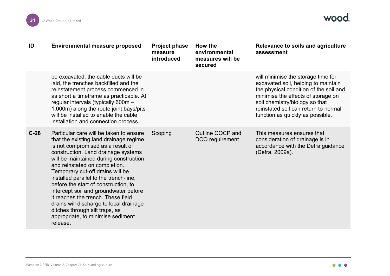

| ID     | <b>Environmental measure proposed</b>                                                                                                                                                                                                                                                                                                                                                                                                                                                                                                                                       | <b>Project phase</b><br>measure<br>introduced | How the<br>environmental<br>measures will be<br>secured | Relevance to soils and agriculture<br>assessment                                                                                                                                                                                                                        |
|--------|-----------------------------------------------------------------------------------------------------------------------------------------------------------------------------------------------------------------------------------------------------------------------------------------------------------------------------------------------------------------------------------------------------------------------------------------------------------------------------------------------------------------------------------------------------------------------------|-----------------------------------------------|---------------------------------------------------------|-------------------------------------------------------------------------------------------------------------------------------------------------------------------------------------------------------------------------------------------------------------------------|
|        | be excavated, the cable ducts will be<br>laid, the trenches backfilled and the<br>reinstatement process commenced in<br>as short a timeframe as practicable. At<br>regular intervals (typically 600m -<br>1,000m) along the route joint bays/pits<br>will be installed to enable the cable<br>installation and connection process.                                                                                                                                                                                                                                          |                                               |                                                         | will minimise the storage time for<br>excavated soil, helping to maintain<br>the physical condition of the soil and<br>minimise the effects of storage on<br>soil chemistry/biology so that<br>reinstated soil can return to normal<br>function as quickly as possible. |
| $C-28$ | Particular care will be taken to ensure<br>that the existing land drainage regime<br>is not compromised as a result of<br>construction. Land drainage systems<br>will be maintained during construction<br>and reinstated on completion.<br>Temporary cut-off drains will be<br>installed parallel to the trench-line,<br>before the start of construction, to<br>intercept soil and groundwater before<br>it reaches the trench. These field<br>drains will discharge to local drainage<br>ditches through silt traps, as<br>appropriate, to minimise sediment<br>release. | Scoping                                       | Outline COCP and<br>DCO requirement                     | This measures ensures that<br>consideration of drainage is in<br>accordance with the Defra guidance<br>(Defra, 2009a).                                                                                                                                                  |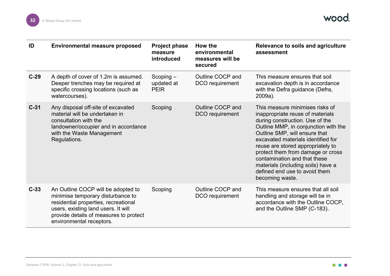| ID     | <b>Environmental measure proposed</b>                                                                                                                                                                                        | <b>Project phase</b><br>measure<br>introduced | How the<br>environmental<br>measures will be<br>secured | Relevance to soils and agriculture<br>assessment                                                                                                                                                                                                                                                                                                                                                                          |
|--------|------------------------------------------------------------------------------------------------------------------------------------------------------------------------------------------------------------------------------|-----------------------------------------------|---------------------------------------------------------|---------------------------------------------------------------------------------------------------------------------------------------------------------------------------------------------------------------------------------------------------------------------------------------------------------------------------------------------------------------------------------------------------------------------------|
| $C-29$ | A depth of cover of 1.2m is assumed.<br>Deeper trenches may be required at<br>specific crossing locations (such as<br>watercourses).                                                                                         | $Scoping -$<br>updated at<br><b>PEIR</b>      | Outline COCP and<br>DCO requirement                     | This measure ensures that soil<br>excavation depth is in accordance<br>with the Defra guidance (Defra,<br>2009a).                                                                                                                                                                                                                                                                                                         |
| $C-31$ | Any disposal off-site of excavated<br>material will be undertaken in<br>consultation with the<br>landowner/occupier and in accordance<br>with the Waste Management<br>Regulations.                                           | Scoping                                       | Outline COCP and<br>DCO requirement                     | This measure minimises risks of<br>inappropriate reuse of materials<br>during construction. Use of the<br>Outline MMP, in conjunction with the<br>Outline SMP, will ensure that<br>excavated materials identified for<br>reuse are stored appropriately to<br>protect them from damage or cross<br>contamination and that these<br>materials (including soils) have a<br>defined end use to avoid them<br>becoming waste. |
| $C-33$ | An Outline COCP will be adopted to<br>minimise temporary disturbance to<br>residential properties, recreational<br>users, existing land users. It will<br>provide details of measures to protect<br>environmental receptors. | Scoping                                       | Outline COCP and<br>DCO requirement                     | This measure ensures that all soil<br>handling and storage will be in<br>accordance with the Outline COCP,<br>and the Outline SMP (C-183).                                                                                                                                                                                                                                                                                |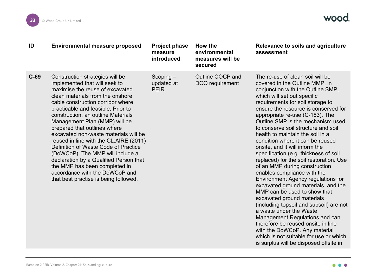| ID     | <b>Environmental measure proposed</b>                                                                                                                                                                                                                                                                                                                                                                                                                                                                                                                                                                                                          | <b>Project phase</b><br>measure<br>introduced | How the<br>environmental<br>measures will be<br>secured | Relevance to soils and agriculture<br>assessment                                                                                                                                                                                                                                                                                                                                                                                                                                                                                                                                                                                                                                                                                                                                                                                                                                                                                                                                                              |
|--------|------------------------------------------------------------------------------------------------------------------------------------------------------------------------------------------------------------------------------------------------------------------------------------------------------------------------------------------------------------------------------------------------------------------------------------------------------------------------------------------------------------------------------------------------------------------------------------------------------------------------------------------------|-----------------------------------------------|---------------------------------------------------------|---------------------------------------------------------------------------------------------------------------------------------------------------------------------------------------------------------------------------------------------------------------------------------------------------------------------------------------------------------------------------------------------------------------------------------------------------------------------------------------------------------------------------------------------------------------------------------------------------------------------------------------------------------------------------------------------------------------------------------------------------------------------------------------------------------------------------------------------------------------------------------------------------------------------------------------------------------------------------------------------------------------|
| $C-69$ | Construction strategies will be<br>implemented that will seek to<br>maximise the reuse of excavated<br>clean materials from the onshore<br>cable construction corridor where<br>practicable and feasible. Prior to<br>construction, an outline Materials<br>Management Plan (MMP) will be<br>prepared that outlines where<br>excavated non-waste materials will be<br>reused in line with the CL:AIRE (2011)<br>Definition of Waste Code of Practice<br>(DoWCoP). The MMP will include a<br>declaration by a Qualified Person that<br>the MMP has been completed in<br>accordance with the DoWCoP and<br>that best practise is being followed. | $Scoping -$<br>updated at<br><b>PEIR</b>      | Outline COCP and<br>DCO requirement                     | The re-use of clean soil will be<br>covered in the Outline MMP, in<br>conjunction with the Outline SMP,<br>which will set out specific<br>requirements for soil storage to<br>ensure the resource is conserved for<br>appropriate re-use (C-183). The<br>Outline SMP is the mechanism used<br>to conserve soil structure and soil<br>health to maintain the soil in a<br>condition where it can be reused<br>onsite, and it will inform the<br>specification (e.g. thickness of soil<br>replaced) for the soil restoration. Use<br>of an MMP during construction<br>enables compliance with the<br>Environment Agency regulations for<br>excavated ground materials, and the<br>MMP can be used to show that<br>excavated ground materials<br>(including topsoil and subsoil) are not<br>a waste under the Waste<br>Management Regulations and can<br>therefore be reused onsite in line<br>with the DoWCoP. Any material<br>which is not suitable for use or which<br>is surplus will be disposed offsite in |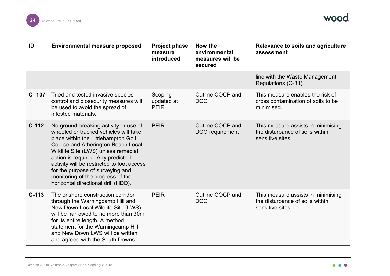

| ID        | <b>Environmental measure proposed</b>                                                                                                                                                                                                                                                                                                                                                                 | <b>Project phase</b><br>measure<br>introduced | How the<br>environmental<br>measures will be<br>secured | Relevance to soils and agriculture<br>assessment                                          |
|-----------|-------------------------------------------------------------------------------------------------------------------------------------------------------------------------------------------------------------------------------------------------------------------------------------------------------------------------------------------------------------------------------------------------------|-----------------------------------------------|---------------------------------------------------------|-------------------------------------------------------------------------------------------|
|           |                                                                                                                                                                                                                                                                                                                                                                                                       |                                               |                                                         | line with the Waste Management<br>Regulations (C-31).                                     |
| $C - 107$ | Tried and tested invasive species<br>control and biosecurity measures will<br>be used to avoid the spread of<br>infested materials.                                                                                                                                                                                                                                                                   | $Scoping -$<br>updated at<br><b>PEIR</b>      | Outline COCP and<br><b>DCO</b>                          | This measure enables the risk of<br>cross contamination of soils to be<br>minimised.      |
| $C-112$   | No ground-breaking activity or use of<br>wheeled or tracked vehicles will take<br>place within the Littlehampton Golf<br>Course and Atherington Beach Local<br>Wildlife Site (LWS) unless remedial<br>action is required. Any predicted<br>activity will be restricted to foot access<br>for the purpose of surveying and<br>monitoring of the progress of the<br>horizontal directional drill (HDD). | <b>PEIR</b>                                   | Outline COCP and<br>DCO requirement                     | This measure assists in minimising<br>the disturbance of soils within<br>sensitive sites. |
| $C-113$   | The onshore construction corridor<br>through the Warningcamp Hill and<br>New Down Local Wildlife Site (LWS)<br>will be narrowed to no more than 30m<br>for its entire length. A method<br>statement for the Warningcamp Hill<br>and New Down LWS will be written<br>and agreed with the South Downs                                                                                                   | <b>PEIR</b>                                   | Outline COCP and<br><b>DCO</b>                          | This measure assists in minimising<br>the disturbance of soils within<br>sensitive sites. |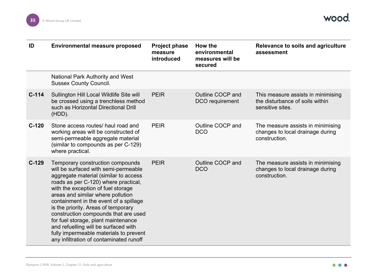

| ID      | <b>Environmental measure proposed</b>                                                                                                                                                                                                                                                                                                                                                                                                                                                                                             | <b>Project phase</b><br>measure<br>introduced | How the<br>environmental<br>measures will be<br>secured | Relevance to soils and agriculture<br>assessment                                          |
|---------|-----------------------------------------------------------------------------------------------------------------------------------------------------------------------------------------------------------------------------------------------------------------------------------------------------------------------------------------------------------------------------------------------------------------------------------------------------------------------------------------------------------------------------------|-----------------------------------------------|---------------------------------------------------------|-------------------------------------------------------------------------------------------|
|         | <b>National Park Authority and West</b><br><b>Sussex County Council.</b>                                                                                                                                                                                                                                                                                                                                                                                                                                                          |                                               |                                                         |                                                                                           |
| $C-114$ | Sullington Hill Local Wildlife Site will<br>be crossed using a trenchless method<br>such as Horizontal Directional Drill<br>$(HDD)$ .                                                                                                                                                                                                                                                                                                                                                                                             | <b>PEIR</b>                                   | Outline COCP and<br>DCO requirement                     | This measure assists in minimising<br>the disturbance of soils within<br>sensitive sites. |
| $C-120$ | Stone access routes/ haul road and<br>working areas will be constructed of<br>semi-permeable aggregate material<br>(similar to compounds as per C-129)<br>where practical.                                                                                                                                                                                                                                                                                                                                                        | <b>PEIR</b>                                   | Outline COCP and<br><b>DCO</b>                          | The measure assists in minimising<br>changes to local drainage during<br>construction.    |
| $C-129$ | Temporary construction compounds<br>will be surfaced with semi-permeable<br>aggregate material (similar to access<br>roads as per C-120) where practical,<br>with the exception of fuel storage<br>areas and similar where pollution<br>containment in the event of a spillage<br>is the priority. Areas of temporary<br>construction compounds that are used<br>for fuel storage, plant maintenance<br>and refuelling will be surfaced with<br>fully impermeable materials to prevent<br>any infiltration of contaminated runoff | <b>PEIR</b>                                   | Outline COCP and<br><b>DCO</b>                          | The measure assists in minimising<br>changes to local drainage during<br>construction.    |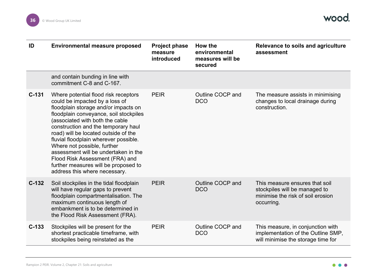

| ID      | <b>Environmental measure proposed</b>                                                                                                                                                                                                                                                                                                                                                                                                                                                                  | <b>Project phase</b><br>measure<br>introduced | How the<br>environmental<br>measures will be<br>secured | Relevance to soils and agriculture<br>assessment                                                                   |
|---------|--------------------------------------------------------------------------------------------------------------------------------------------------------------------------------------------------------------------------------------------------------------------------------------------------------------------------------------------------------------------------------------------------------------------------------------------------------------------------------------------------------|-----------------------------------------------|---------------------------------------------------------|--------------------------------------------------------------------------------------------------------------------|
|         | and contain bunding in line with<br>commitment C-8 and C-167.                                                                                                                                                                                                                                                                                                                                                                                                                                          |                                               |                                                         |                                                                                                                    |
| $C-131$ | Where potential flood risk receptors<br>could be impacted by a loss of<br>floodplain storage and/or impacts on<br>floodplain conveyance, soil stockpiles<br>(associated with both the cable<br>construction and the temporary haul<br>road) will be located outside of the<br>fluvial floodplain wherever possible.<br>Where not possible, further<br>assessment will be undertaken in the<br>Flood Risk Assessment (FRA) and<br>further measures will be proposed to<br>address this where necessary. | <b>PEIR</b>                                   | Outline COCP and<br><b>DCO</b>                          | The measure assists in minimising<br>changes to local drainage during<br>construction.                             |
| $C-132$ | Soil stockpiles in the tidal floodplain<br>will have regular gaps to prevent<br>floodplain compartmentalisation. The<br>maximum continuous length of<br>embankment is to be determined in<br>the Flood Risk Assessment (FRA).                                                                                                                                                                                                                                                                          | <b>PEIR</b>                                   | Outline COCP and<br><b>DCO</b>                          | This measure ensures that soil<br>stockpiles will be managed to<br>minimise the risk of soil erosion<br>occurring. |
| $C-133$ | Stockpiles will be present for the<br>shortest practicable timeframe, with<br>stockpiles being reinstated as the                                                                                                                                                                                                                                                                                                                                                                                       | <b>PEIR</b>                                   | Outline COCP and<br><b>DCO</b>                          | This measure, in conjunction with<br>implementation of the Outline SMP,<br>will minimise the storage time for      |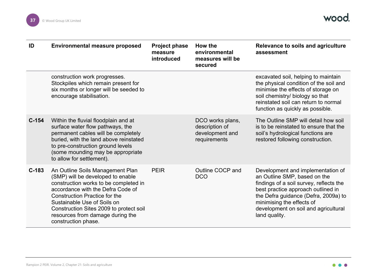

<span id="page-37-0"></span>

| ID      | <b>Environmental measure proposed</b>                                                                                                                                                                                                                                                                                            | <b>Project phase</b><br>measure<br>introduced | How the<br>environmental<br>measures will be<br>secured               | Relevance to soils and agriculture<br>assessment                                                                                                                                                                                                                                 |
|---------|----------------------------------------------------------------------------------------------------------------------------------------------------------------------------------------------------------------------------------------------------------------------------------------------------------------------------------|-----------------------------------------------|-----------------------------------------------------------------------|----------------------------------------------------------------------------------------------------------------------------------------------------------------------------------------------------------------------------------------------------------------------------------|
|         | construction work progresses.<br>Stockpiles which remain present for<br>six months or longer will be seeded to<br>encourage stabilisation.                                                                                                                                                                                       |                                               |                                                                       | excavated soil, helping to maintain<br>the physical condition of the soil and<br>minimise the effects of storage on<br>soil chemistry/ biology so that<br>reinstated soil can return to normal<br>function as quickly as possible.                                               |
| $C-154$ | Within the fluvial floodplain and at<br>surface water flow pathways, the<br>permanent cables will be completely<br>buried, with the land above reinstated<br>to pre-construction ground levels<br>(some mounding may be appropriate<br>to allow for settlement).                                                                 |                                               | DCO works plans,<br>description of<br>development and<br>requirements | The Outline SMP will detail how soil<br>is to be reinstated to ensure that the<br>soil's hydrological functions are<br>restored following construction.                                                                                                                          |
| $C-183$ | An Outline Soils Management Plan<br>(SMP) will be developed to enable<br>construction works to be completed in<br>accordance with the Defra Code of<br><b>Construction Practice for the</b><br>Sustainable Use of Soils on<br>Construction Sites 2009 to protect soil<br>resources from damage during the<br>construction phase. | <b>PEIR</b>                                   | Outline COCP and<br><b>DCO</b>                                        | Development and implementation of<br>an Outline SMP, based on the<br>findings of a soil survey, reflects the<br>best practice approach outlined in<br>the Defra guidance (Defra, 2009a) to<br>minimising the effects of<br>development on soil and agricultural<br>land quality. |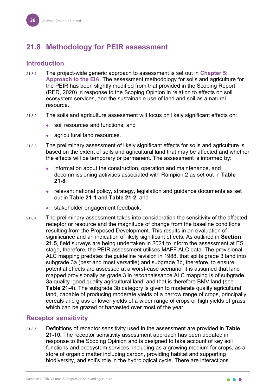# <span id="page-38-0"></span>**21.8 Methodology for PEIR assessment**

#### <span id="page-38-1"></span>**Introduction**

- 21.8.1 The project-wide generic approach to assessment is set out in **Chapter 5: Approach to the EIA**. The assessment methodology for soils and agriculture for the PEIR has been slightly modified from that provided in the Scoping Report (RED, 2020) in response to the Scoping Opinion in relation to effects on soil ecosystem services, and the sustainable use of land and soil as a natural resource.
- 21.8.2 The soils and agriculture assessment will focus on likely significant effects on:
	- soil resources and functions; and
	- agricultural land resources.
- 21.8.3 The preliminary assessment of likely significant effects for soils and agriculture is based on the extent of soils and agricultural land that may be affected and whether the effects will be temporary or permanent. The assessment is informed by:
	- information about the construction, operation and maintenance, and decommissioning activities associated with Rampion 2 as set out in **[Table](#page-24-3)  [21-8](#page-24-3)**;
	- relevant national policy, strategy, legislation and guidance documents as set out in **[Table 21-1](#page-4-3)** and **[Table 21-2](#page-7-0)**; and
	- stakeholder engagement feedback.
- 21.8.4 The preliminary assessment takes into consideration the sensitivity of the affected receptor or resource and the magnitude of change from the baseline conditions resulting from the Proposed Development. This results in an evaluation of significance and an indication of likely significant effects. As outlined in **Section [21.5](#page-20-0)**, field surveys are being undertaken in 2021 to inform the assessment at ES stage, therefore, the PEIR assessment utilises MAFF ALC data. The provisional ALC mapping predates the guideline revision in 1988, that splits grade 3 land into subgrade 3a (best and most versatile) and subgrade 3b, therefore, to ensure potential effects are assessed at a worst-case scenario, it is assumed that land mapped provisionally as grade 3 in reconnaissance ALC mapping is of subgrade 3a quality 'good quality agricultural land' and that is therefore BMV land (see **Table 21-4**). The subgrade 3b category is given to moderate quality agricultural land, capable of producing moderate yields of a narrow range of crops, principally cereals and grass or lower yields of a wider range of crops or high yields of grass which can be grazed or harvested over most of the year.

#### **Receptor sensitivity**

21.8.5 Definitions of receptor sensitivity used in the assessment are provided in **[Table](#page-39-0)  [21-10.](#page-39-0)** The receptor sensitivity assessment approach has been updated in response to the Scoping Opinion and is designed to take account of key soil functions and ecosystem services, including as a growing medium for crops, as a store of organic matter including carbon, providing habitat and supporting biodiversity, and soil's role in the hydrological cycle. There are interactions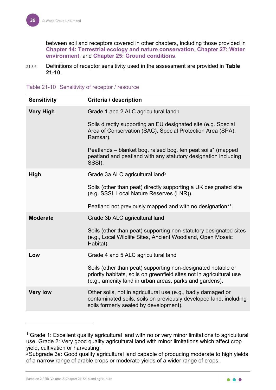between soil and receptors covered in other chapters, including those provided in **Chapter 14: Terrestrial ecology and nature conservation**, **Chapter 27: Water environment**, and **Chapter 25: Ground conditions**.

21.8.6 Definitions of receptor sensitivity used in the assessment are provided in **[Table](#page-39-0)  [21-10](#page-39-0)**.

<span id="page-39-0"></span>

| Table 21-10 Sensitivity of receptor / resource |  |  |  |
|------------------------------------------------|--|--|--|
|------------------------------------------------|--|--|--|

| <b>Sensitivity</b> | Criteria / description                                                                                                                                                                          |
|--------------------|-------------------------------------------------------------------------------------------------------------------------------------------------------------------------------------------------|
| <b>Very High</b>   | Grade 1 and 2 ALC agricultural land1                                                                                                                                                            |
|                    | Soils directly supporting an EU designated site (e.g. Special<br>Area of Conservation (SAC), Special Protection Area (SPA),<br>Ramsar).                                                         |
|                    | Peatlands – blanket bog, raised bog, fen peat soils* (mapped<br>peatland and peatland with any statutory designation including<br>SSSI).                                                        |
| <b>High</b>        | Grade 3a ALC agricultural land <sup>2</sup>                                                                                                                                                     |
|                    | Soils (other than peat) directly supporting a UK designated site<br>(e.g. SSSI, Local Nature Reserves (LNR)).                                                                                   |
|                    | Peatland not previously mapped and with no designation**.                                                                                                                                       |
| <b>Moderate</b>    | Grade 3b ALC agricultural land                                                                                                                                                                  |
|                    | Soils (other than peat) supporting non-statutory designated sites<br>(e.g., Local Wildlife Sites, Ancient Woodland, Open Mosaic<br>Habitat).                                                    |
| Low                | Grade 4 and 5 ALC agricultural land                                                                                                                                                             |
|                    | Soils (other than peat) supporting non-designated notable or<br>priority habitats, soils on greenfield sites not in agricultural use<br>(e.g., amenity land in urban areas, parks and gardens). |
| <b>Very low</b>    | Other soils, not in agricultural use (e.g., badly damaged or<br>contaminated soils, soils on previously developed land, including<br>soils formerly sealed by development).                     |

<span id="page-39-2"></span><sup>2</sup> Subgrade 3a: Good quality agricultural land capable of producing moderate to high yields of a narrow range of arable crops or moderate yields of a wider range of crops.

<span id="page-39-1"></span> $1$  Grade 1: Excellent quality agricultural land with no or very minor limitations to agricultural use. Grade 2: Very good quality agricultural land with minor limitations which affect crop yield, cultivation or harvesting.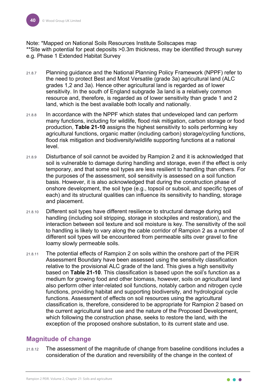Note: \*Mapped on National Soils Resources Institute Soilscapes map \*\*Site with potential for peat deposits >0.3m thickness, may be identified through survey e.g. Phase 1 Extended Habitat Survey

- 21.8.7 Planning guidance and the National Planning Policy Framework (NPPF) refer to the need to protect Best and Most Versatile (grade 3a) agricultural land (ALC grades 1,2 and 3a). Hence other agricultural land is regarded as of lower sensitivity. In the south of England subgrade 3a land is a relatively common resource and, therefore, is regarded as of lower sensitivity than grade 1 and 2 land, which is the best available both locally and nationally.
- 21.8.8 In accordance with the NPPF which states that undeveloped land can perform many functions, including for wildlife, flood risk mitigation, carbon storage or food production, **[Table 21-10](#page-39-0)** assigns the highest sensitivity to soils performing key agricultural functions, organic matter (including carbon) storage/cycling functions, flood risk mitigation and biodiversity/wildlife supporting functions at a national level.
- 21.8.9 Disturbance of soil cannot be avoided by Rampion 2 and it is acknowledged that soil is vulnerable to damage during handling and storage, even if the effect is only temporary, and that some soil types are less resilient to handling than others. For the purposes of the assessment, soil sensitivity is assessed on a soil function basis. However, it is also acknowledged that during the construction phase of onshore development, the soil type (e.g., topsoil or subsoil, and specific types of each) and its structural qualities can influence its sensitivity to handling, storage and placement.
- 21.8.10 Different soil types have different resilience to structural damage during soil handling (including soil stripping, storage in stockpiles and restoration), and the interaction between soil texture and soil moisture is key. The sensitivity of the soil to handling is likely to vary along the cable corridor of Rampion 2 as a number of different soil types will be encountered from permeable silts over gravel to fine loamy slowly permeable soils.
- 21.8.11 The potential effects of Rampion 2 on soils within the onshore part of the PEIR Assessment Boundary have been assessed using the sensitivity classification relative to the provisional ALC grade of the land. This gives a high sensitivity based on **[Table 21-10](#page-39-0)**. This classification is based upon the soil's function as a medium for growing food and other biomass, however, soils on agricultural land also perform other inter-related soil functions, notably carbon and nitrogen cycle functions, providing habitat and supporting biodiversity, and hydrological cycle functions. Assessment of effects on soil resources using the agricultural classification is, therefore, considered to be appropriate for Rampion 2 based on the current agricultural land use and the nature of the Proposed Development, which following the construction phase, seeks to restore the land, with the exception of the proposed onshore substation, to its current state and use.

# <span id="page-40-0"></span>**Magnitude of change**

21.8.12 The assessment of the magnitude of change from baseline conditions includes a consideration of the duration and reversibility of the change in the context of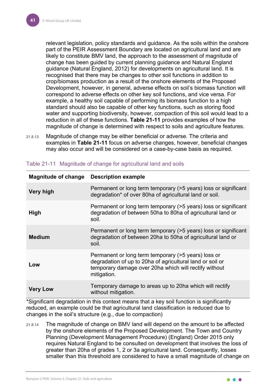relevant legislation, policy standards and guidance. As the soils within the onshore part of the PEIR Assessment Boundary are located on agricultural land and are likely to constitute BMV land, the approach to the assessment of magnitude of change has been guided by current planning guidance and Natural England guidance (Natural England, 2012) for developments on agricultural land. It is recognised that there may be changes to other soil functions in addition to crop/biomass production as a result of the onshore elements of the Proposed Development, however, in general, adverse effects on soil's biomass function will correspond to adverse effects on other key soil functions, and vice versa. For example, a healthy soil capable of performing its biomass function to a high standard should also be capable of other key functions, such as storing flood water and supporting biodiversity, however, compaction of this soil would lead to a reduction in all of these functions. **[Table 21-11](#page-41-0)** provides examples of how the magnitude of change is determined with respect to soils and agriculture features.

21.8.13 Magnitude of change may be either beneficial or adverse. The criteria and examples in **[Table 21-11](#page-41-0)** focus on adverse changes, however, beneficial changes may also occur and will be considered on a case-by-case basis as required.

| <b>Magnitude of change</b> | <b>Description example</b>                                                                                                                                                               |
|----------------------------|------------------------------------------------------------------------------------------------------------------------------------------------------------------------------------------|
| <b>Very high</b>           | Permanent or long term temporary (>5 years) loss or significant<br>degradation* of over 80ha of agricultural land or soil.                                                               |
| <b>High</b>                | Permanent or long term temporary (>5 years) loss or significant<br>degradation of between 50ha to 80ha of agricultural land or<br>soil.                                                  |
| <b>Medium</b>              | Permanent or long term temporary (>5 years) loss or significant<br>degradation of between 20ha to 50ha of agricultural land or<br>soil.                                                  |
| Low                        | Permanent or long term temporary (>5 years) loss or<br>degradation of up to 20ha of agricultural land or soil or<br>temporary damage over 20ha which will rectify without<br>mitigation. |
| <b>Very Low</b>            | Temporary damage to areas up to 20ha which will rectify<br>without mitigation.                                                                                                           |

<span id="page-41-0"></span>

| Table 21-11 Magnitude of change for agricultural land and soils |  |  |  |  |
|-----------------------------------------------------------------|--|--|--|--|
|                                                                 |  |  |  |  |
|                                                                 |  |  |  |  |

\*Significant degradation in this context means that a key soil function is significantly reduced, an example could be that agricultural land classification is reduced due to changes in the soil's structure (e.g., due to compaction)

21.8.14 The magnitude of change on BMV land will depend on the amount to be affected by the onshore elements of the Proposed Development. The Town and Country Planning (Development Management Procedure) (England) Order 2015 only requires Natural England to be consulted on development that involves the loss of greater than 20ha of grades 1, 2 or 3a agricultural land. Consequently, losses smaller than this threshold are considered to have a small magnitude of change on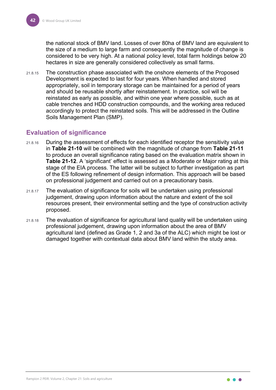the national stock of BMV land. Losses of over 80ha of BMV land are equivalent to the size of a medium to large farm and consequently the magnitude of change is considered to be very high. At a national policy level, total farm holdings below 20 hectares in size are generally considered collectively as small farms.

21.8.15 The construction phase associated with the onshore elements of the Proposed Development is expected to last for four years. When handled and stored appropriately, soil in temporary storage can be maintained for a period of years and should be reusable shortly after reinstatement. In practice, soil will be reinstated as early as possible, and within one year where possible, such as at cable trenches and HDD construction compounds, and the working area reduced accordingly to protect the reinstated soils. This will be addressed in the Outline Soils Management Plan (SMP).

#### <span id="page-42-0"></span>**Evaluation of significance**

- 21.8.16 During the assessment of effects for each identified receptor the sensitivity value in **[Table 21-10](#page-39-0)** will be combined with the magnitude of change from **[Table 21-11](#page-41-0)** to produce an overall significance rating based on the evaluation matrix shown in **[Table 21-12](#page-43-2)**. A 'significant' effect is assessed as a Moderate or Major rating at this stage of the EIA process. The latter will be subject to further investigation as part of the ES following refinement of design information. This approach will be based on professional judgement and carried out on a precautionary basis.
- 21.8.17 The evaluation of significance for soils will be undertaken using professional judgement, drawing upon information about the nature and extent of the soil resources present, their environmental setting and the type of construction activity proposed.
- 21.8.18 The evaluation of significance for agricultural land quality will be undertaken using professional judgement, drawing upon information about the area of BMV agricultural land (defined as Grade 1, 2 and 3a of the ALC) which might be lost or damaged together with contextual data about BMV land within the study area.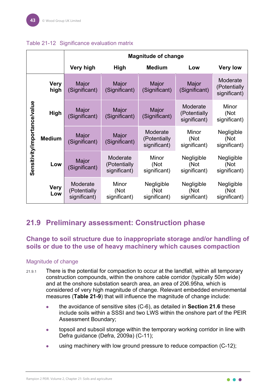|                              |                     | <b>Magnitude of change</b>               |                                          |                                          |                                          |                                          |  |  |  |
|------------------------------|---------------------|------------------------------------------|------------------------------------------|------------------------------------------|------------------------------------------|------------------------------------------|--|--|--|
|                              |                     | Very high                                | <b>High</b>                              | <b>Medium</b>                            | Low                                      | <b>Very low</b>                          |  |  |  |
|                              | <b>Very</b><br>high | Major<br>(Significant)                   | Major<br>(Significant)                   | Major<br>(Significant)                   | Major<br>(Significant)                   | Moderate<br>(Potentially<br>significant) |  |  |  |
| Sensitivity/importance/value | <b>High</b>         | Major<br>(Significant)                   | Major<br>(Significant)                   |                                          | Moderate<br>(Potentially<br>significant) | Minor<br>(Not<br>significant)            |  |  |  |
|                              | <b>Medium</b>       | Major<br>(Significant)                   | Major<br>(Significant)                   | Moderate<br>(Potentially<br>significant) | Minor<br>(Not<br>significant)            | Negligible<br>(Not<br>significant)       |  |  |  |
|                              | Low                 | Major<br>(Significant)                   | Moderate<br>(Potentially<br>significant) | Minor<br>(Not<br>significant)            | Negligible<br>(Not<br>significant)       | Negligible<br>(Not<br>significant)       |  |  |  |
|                              | <b>Very</b><br>Low  | Moderate<br>(Potentially<br>significant) | Minor<br>(Not<br>significant)            | Negligible<br>(Not<br>significant)       | Negligible<br>(Not<br>significant)       | Negligible<br>(Not<br>significant)       |  |  |  |

#### <span id="page-43-2"></span>Table 21-12 Significance evaluation matrix

# <span id="page-43-0"></span>**21.9 Preliminary assessment: Construction phase**

#### <span id="page-43-1"></span>**Change to soil structure due to inappropriate storage and/or handling of soils or due to the use of heavy machinery which causes compaction**

#### Magnitude of change

- 21.9.1 There is the potential for compaction to occur at the landfall, within all temporary construction compounds, within the onshore cable corridor (typically 50m wide) and at the onshore substation search area, an area of 206.95ha, which is considered of very high magnitude of change. Relevant embedded environmental measures (**[Table 21-9](#page-28-0)**) that will influence the magnitude of change include:
	- the avoidance of sensitive sites (C-6), as detailed in **Section [21.6](#page-21-1)** these include soils within a SSSI and two LWS within the onshore part of the PEIR Assessment Boundary;
	- topsoil and subsoil storage within the temporary working corridor in line with Defra guidance (Defra, 2009a) (C-11);
	- **•** using machinery with low ground pressure to reduce compaction (C-12);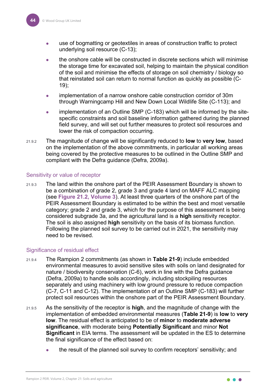- use of bogmatting or geotextiles in areas of construction traffic to protect underlying soil resource (C-13);
- the onshore cable will be constructed in discrete sections which will minimise the storage time for excavated soil, helping to maintain the physical condition of the soil and minimise the effects of storage on soil chemistry / biology so that reinstated soil can return to normal function as quickly as possible (C-19);
- implementation of a narrow onshore cable construction corridor of 30m through Warningcamp Hill and New Down Local Wildlife Site (C-113); and
- implementation of an Outline SMP (C-183) which will be informed by the sitespecific constraints and soil baseline information gathered during the planned field survey, and will set out further measures to protect soil resources and lower the risk of compaction occurring.
- 21.9.2 The magnitude of change will be significantly reduced to **low** to **very low**, based on the implementation of the above commitments, in particular all working areas being covered by the protective measures to be outlined in the Outline SMP and compliant with the Defra guidance (Defra, 2009a).

#### Sensitivity or value of receptor

21.9.3 The land within the onshore part of the PEIR Assessment Boundary is shown to be a combination of grade 2, grade 3 and grade 4 land on MAFF ALC mapping (see **Figure 21.2, Volume 3**). At least three quarters of the onshore part of the PEIR Assessment Boundary is estimated to be within the best and most versatile category; grade 2 and grade 3, which for the purpose of this assessment is being considered subgrade 3a, and the agricultural land is a **high** sensitivity receptor. The soil is also assigned **high** sensitivity on the basis of its biomass function. Following the planned soil survey to be carried out in 2021, the sensitivity may need to be revised.

#### Significance of residual effect

- 21.9.4 The Rampion 2 commitments (as shown in **[Table 21-9](#page-28-0)**) include embedded environmental measures to avoid sensitive sites with soils on land designated for nature / biodiversity conservation (C-6), work in line with the Defra guidance (Defra, 2009a) to handle soils accordingly, including stockpiling resources separately and using machinery with low ground pressure to reduce compaction (C-7, C-11 and C-12). The implementation of an Outline SMP (C-183) will further protect soil resources within the onshore part of the PEIR Assessment Boundary.
- 21.9.5 As the sensitivity of the receptor is **high**, and the magnitude of change with the implementation of embedded environmental measures (**[Table 21-9](#page-28-0)**) is **low** to **very low**. The residual effect is anticipated to be of **minor** to **moderate adverse significance**, with moderate being **Potentially Significant** and minor **Not Significant** in EIA terms. The assessment will be updated in the ES to determine the final significance of the effect based on:
	- the result of the planned soil survey to confirm receptors' sensitivity; and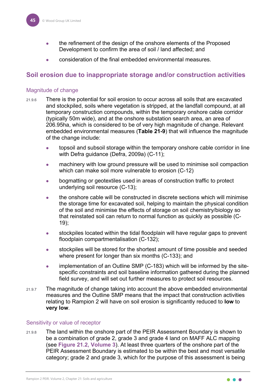- the refinement of the design of the onshore elements of the Proposed Development to confirm the area of soil / land affected; and
- consideration of the final embedded environmental measures.

#### <span id="page-45-0"></span>**Soil erosion due to inappropriate storage and/or construction activities**

#### Magnitude of change

- 21.9.6 There is the potential for soil erosion to occur across all soils that are excavated and stockpiled, soils where vegetation is stripped, at the landfall compound, at all temporary construction compounds, within the temporary onshore cable corridor (typically 50m wide), and at the onshore substation search area, an area of 206.95ha, which is considered to be of very high magnitude of change. Relevant embedded environmental measures (**[Table 21-9](#page-28-0)**) that will influence the magnitude of the change include:
	- topsoil and subsoil storage within the temporary onshore cable corridor in line with Defra guidance (Defra, 2009a) (C-11);
	- machinery with low ground pressure will be used to minimise soil compaction which can make soil more vulnerable to erosion (C-12)
	- **•** bogmatting or geotextiles used in areas of construction traffic to protect underlying soil resource (C-13);
	- the onshore cable will be constructed in discrete sections which will minimise the storage time for excavated soil, helping to maintain the physical condition of the soil and minimise the effects of storage on soil chemistry/biology so that reinstated soil can return to normal function as quickly as possible (C-19);
	- stockpiles located within the tidal floodplain will have regular gaps to prevent floodplain compartmentalisation (C-132);
	- stockpiles will be stored for the shortest amount of time possible and seeded where present for longer than six months (C-133); and
	- implementation of an Outline SMP (C-183) which will be informed by the sitespecific constraints and soil baseline information gathered during the planned field survey, and will set out further measures to protect soil resources.
- 21.9.7 The magnitude of change taking into account the above embedded environmental measures and the Outline SMP means that the impact that construction activities relating to Rampion 2 will have on soil erosion is significantly reduced to **low** to **very low**.

#### Sensitivity or value of receptor

21.9.8 The land within the onshore part of the PEIR Assessment Boundary is shown to be a combination of grade 2, grade 3 and grade 4 land on MAFF ALC mapping (see **Figure 21.2, Volume 3**). At least three quarters of the onshore part of the PEIR Assessment Boundary is estimated to be within the best and most versatile category; grade 2 and grade 3, which for the purpose of this assessment is being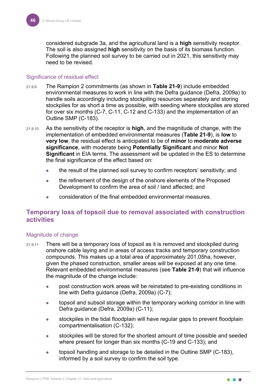considered subgrade 3a, and the agricultural land is a **high** sensitivity receptor. The soil is also assigned **high** sensitivity on the basis of its biomass function. Following the planned soil survey to be carried out in 2021, this sensitivity may need to be revised.

#### Significance of residual effect

- 21.9.9 The Rampion 2 commitments (as shown in **[Table 21-9](#page-28-0)**) include embedded environmental measures to work in line with the Defra guidance (Defra, 2009a) to handle soils accordingly including stockpiling resources separately and storing stockpiles for as short a time as possible, with seeding where stockpiles are stored for over six months (C-7, C-11, C-12 and C-133) and the implementation of an Outline SMP (C-183).
- 21.9.10 As the sensitivity of the receptor is **high**, and the magnitude of change, with the implementation of embedded environmental measures (**[Table 21-9](#page-28-0)**), is **low** to **very low**, the residual effect is anticipated to be of **minor** to **moderate adverse significance**, with moderate being **Potentially Significant** and minor **Not Significant** in EIA terms. The assessment will be updated in the ES to determine the final significance of the effect based on:
	- the result of the planned soil survey to confirm receptors' sensitivity; and
	- the refinement of the design of the onshore elements of the Proposed Development to confirm the area of soil / land affected; and
	- consideration of the final embedded environmental measures.

#### <span id="page-46-0"></span>**Temporary loss of topsoil due to removal associated with construction activities**

#### Magnitude of change

- <span id="page-46-1"></span>21.9.11 There will be a temporary loss of topsoil as it is removed and stockpiled during onshore cable laying and in areas of access tracks and temporary construction compounds. This makes up a total area of approximately 201.05ha, however, given the phased construction, smaller areas will be exposed at any one time. Relevant embedded environmental measures (see **[Table 21-9](#page-28-0)**) that will influence the magnitude of the change include:
	- post construction work areas will be reinstated to pre-existing conditions in line with Defra guidance (Defra, 2009a) (C-7);
	- topsoil and subsoil storage within the temporary working corridor in line with Defra guidance (Defra, 2009a) (C-11);
	- stockpiles in the tidal floodplain will have regular gaps to prevent floodplain compartmentalisation (C-132);
	- stockpiles will be stored for the shortest amount of time possible and seeded where present for longer than six months (C-19 and C-133); and
	- topsoil handling and storage to be detailed in the Outline SMP (C-183), informed by a soil survey to confirm the soil type.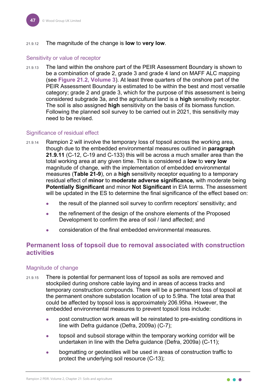#### 21.9.12 The magnitude of the change is **low** to **very low**.

#### Sensitivity or value of receptor

21.9.13 The land within the onshore part of the PEIR Assessment Boundary is shown to be a combination of grade 2, grade 3 and grade 4 land on MAFF ALC mapping (see **Figure 21.2, Volume 3**). At least three quarters of the onshore part of the PEIR Assessment Boundary is estimated to be within the best and most versatile category; grade 2 and grade 3, which for the purpose of this assessment is being considered subgrade 3a, and the agricultural land is a **high** sensitivity receptor. The soil is also assigned **high** sensitivity on the basis of its biomass function. Following the planned soil survey to be carried out in 2021, this sensitivity may need to be revised.

#### Significance of residual effect

- 21.9.14 Rampion 2 will involve the temporary loss of topsoil across the working area, though due to the embedded environmental measures outlined in **paragraph [21.9.11](#page-46-1)** (C-12, C-19 and C-133) this will be across a much smaller area than the total working area at any given time. This is considered a **low** to **very low** magnitude of change, with the implementation of embedded environmental measures (**[Table 21-9](#page-28-0)**), on a **high** sensitivity receptor equating to a temporary residual effect of **minor** to **moderate adverse significance,** with moderate being **Potentially Significant** and minor **Not Significant** in EIA terms. The assessment will be updated in the ES to determine the final significance of the effect based on:
	- the result of the planned soil survey to confirm receptors' sensitivity; and
	- the refinement of the design of the onshore elements of the Proposed Development to confirm the area of soil / land affected; and
	- consideration of the final embedded environmental measures.

#### <span id="page-47-0"></span>**Permanent loss of topsoil due to removal associated with construction activities**

#### Magnitude of change

- 21.9.15 There is potential for permanent loss of topsoil as soils are removed and stockpiled during onshore cable laying and in areas of access tracks and temporary construction compounds. There will be a permanent loss of topsoil at the permanent onshore substation location of up to 5.9ha. The total area that could be affected by topsoil loss is approximately 206.95ha. However, the embedded environmental measures to prevent topsoil loss include:
	- post construction work areas will be reinstated to pre-existing conditions in line with Defra guidance (Defra, 2009a) (C-7);
	- topsoil and subsoil storage within the temporary working corridor will be undertaken in line with the Defra guidance (Defra, 2009a) (C-11);
	- bogmatting or geotextiles will be used in areas of construction traffic to protect the underlying soil resource (C-13);

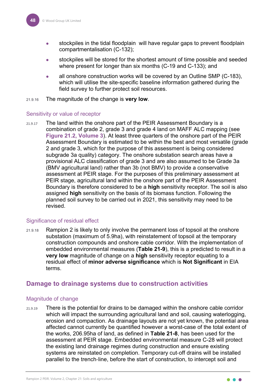- stockpiles in the tidal floodplain will have regular gaps to prevent floodplain compartmentalisation (C-132);
- stockpiles will be stored for the shortest amount of time possible and seeded where present for longer than six months (C-19 and C-133); and
- all onshore construction works will be covered by an Outline SMP (C-183), which will utilise the site-specific baseline information gathered during the field survey to further protect soil resources.
- 21.9.16 The magnitude of the change is **very low**.

#### Sensitivity or value of receptor

21.9.17 The land within the onshore part of the PEIR Assessment Boundary is a combination of grade 2, grade 3 and grade 4 land on MAFF ALC mapping (see **Figure 21.2, Volume 3**). At least three quarters of the onshore part of the PEIR Assessment Boundary is estimated to be within the best and most versatile (grade 2 and grade 3, which for the purpose of this assessment is being considered subgrade 3a quality) category. The onshore substation search areas have a provisional ALC classification of grade 3 and are also assumed to be Grade 3a (BMV agricultural land) rather than 3b (not BMV) to provide a conservative assessment at PEIR stage. For the purposes of this preliminary assessment at PEIR stage, agricultural land within the onshore part of the PEIR Assessment Boundary is therefore considered to be a **high** sensitivity receptor. The soil is also assigned **high** sensitivity on the basis of its biomass function. Following the planned soil survey to be carried out in 2021, this sensitivity may need to be revised.

#### Significance of residual effect

21.9.18 Rampion 2 is likely to only involve the permanent loss of topsoil at the onshore substation (maximum of 5.9ha), with reinstatement of topsoil at the temporary construction compounds and onshore cable corridor. With the implementation of embedded environmental measures (**[Table 21-9](#page-28-0)**), this is a predicted to result in a **very low** magnitude of change on a **high** sensitivity receptor equating to a residual effect of **minor adverse significance** which is **Not Significant** in EIA terms.

#### <span id="page-48-0"></span>**Damage to drainage systems due to construction activities**

#### Magnitude of change

 $21.9.19$  There is the potential for drains to be damaged within the onshore cable corridor which will impact the surrounding agricultural land and soil, causing waterlogging, erosion and compaction. As drainage layouts are not yet known, the potential area affected cannot currently be quantified however a worst-case of the total extent of the works, 206.95ha of land, as defined in **[Table 21-8](#page-24-3)**, has been used for the assessment at PEIR stage. Embedded environmental measure C-28 will protect the existing land drainage regimes during construction and ensure existing systems are reinstated on completion. Temporary cut-off drains will be installed parallel to the trench‐line, before the start of construction, to intercept soil and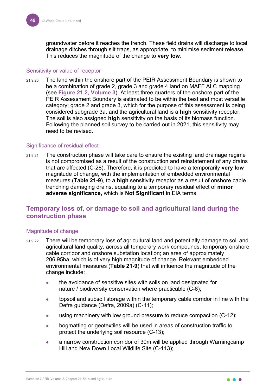groundwater before it reaches the trench. These field drains will discharge to local drainage ditches through silt traps, as appropriate, to minimise sediment release. This reduces the magnitude of the change to **very low**.

#### Sensitivity or value of receptor

21.9.20 The land within the onshore part of the PEIR Assessment Boundary is shown to be a combination of grade 2, grade 3 and grade 4 land on MAFF ALC mapping (see **Figure 21.2, Volume 3**). At least three quarters of the onshore part of the PEIR Assessment Boundary is estimated to be within the best and most versatile category; grade 2 and grade 3, which for the purpose of this assessment is being considered subgrade 3a, and the agricultural land is a **high** sensitivity receptor. The soil is also assigned **high** sensitivity on the basis of its biomass function. Following the planned soil survey to be carried out in 2021, this sensitivity may need to be revised.

#### Significance of residual effect

21.9.21 The construction phase will take care to ensure the existing land drainage regime is not compromised as a result of the construction and reinstatement of any drains that are affected (C-28). Therefore, it is predicted to have a temporarily **very low** magnitude of change, with the implementation of embedded environmental measures (**[Table 21-9](#page-28-0)**), to a **high** sensitivity receptor as a result of onshore cable trenching damaging drains, equating to a temporary residual effect of **minor adverse significance,** which is **Not Significant** in EIA terms.

#### <span id="page-49-0"></span>**Temporary loss of, or damage to soil and agricultural land during the construction phase**

#### Magnitude of change

- 21.9.22 There will be temporary loss of agricultural land and potentially damage to soil and agricultural land quality, across all temporary work compounds, temporary onshore cable corridor and onshore substation location; an area of approximately 206.95ha, which is of very high magnitude of change. Relevant embedded environmental measures (**[Table 21-9](#page-28-0)**) that will influence the magnitude of the change include:
	- the avoidance of sensitive sites with soils on land designated for nature / biodiversity conservation where practicable (C-6);
	- topsoil and subsoil storage within the temporary cable corridor in line with the Defra guidance (Defra, 2009a) (C-11);
	- using machinery with low ground pressure to reduce compaction (C-12);
	- **•** bogmatting or geotextiles will be used in areas of construction traffic to protect the underlying soil resource (C-13);
	- a narrow construction corridor of 30m will be applied through Warningcamp Hill and New Down Local Wildlife Site (C-113);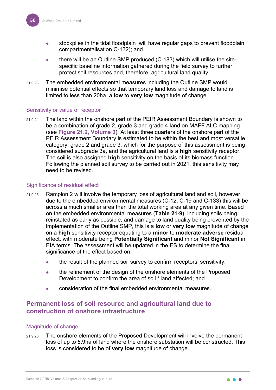- stockpiles in the tidal floodplain will have regular gaps to prevent floodplain compartmentalisation C-132); and
- there will be an Outline SMP produced (C-183) which will utilise the sitespecific baseline information gathered during the field survey to further protect soil resources and, therefore, agricultural land quality.
- 21.9.23 The embedded environmental measures including the Outline SMP would minimise potential effects so that temporary land loss and damage to land is limited to less than 20ha, a **low** to **very low** magnitude of change.

#### Sensitivity or value of receptor

21.9.24 The land within the onshore part of the PEIR Assessment Boundary is shown to be a combination of grade 2, grade 3 and grade 4 land on MAFF ALC mapping (see **Figure 21.2, Volume 3**). At least three quarters of the onshore part of the PEIR Assessment Boundary is estimated to be within the best and most versatile category; grade 2 and grade 3, which for the purpose of this assessment is being considered subgrade 3a, and the agricultural land is a **high** sensitivity receptor. The soil is also assigned **high** sensitivity on the basis of its biomass function. Following the planned soil survey to be carried out in 2021, this sensitivity may need to be revised.

#### Significance of residual effect

- 21.9.25 Rampion 2 will involve the temporary loss of agricultural land and soil, however, due to the embedded environmental measures (C-12, C-19 and C-133) this will be across a much smaller area than the total working area at any given time. Based on the embedded environmental measures (**[Table 21-9](#page-28-0)**), including soils being reinstated as early as possible, and damage to land quality being prevented by the implementation of the Outline SMP, this is a **low** or **very low** magnitude of change on a **high** sensitivity receptor equating to a **minor** to **moderate adverse** residual effect, with moderate being **Potentially Significant** and minor **Not Significant** in EIA terms. The assessment will be updated in the ES to determine the final significance of the effect based on:
	- the result of the planned soil survey to confirm receptors' sensitivity;
	- the refinement of the design of the onshore elements of the Proposed Development to confirm the area of soil / land affected; and
	- consideration of the final embedded environmental measures.

#### <span id="page-50-0"></span>**Permanent loss of soil resource and agricultural land due to construction of onshore infrastructure**

#### Magnitude of change

21.9.26 The onshore elements of the Proposed Development will involve the permanent loss of up to 5.9ha of land where the onshore substation will be constructed. This loss is considered to be of **very low** magnitude of change.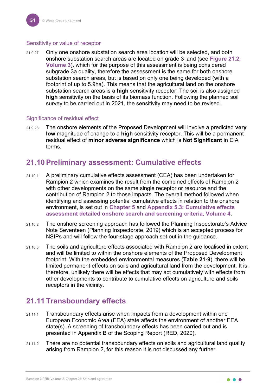#### Sensitivity or value of receptor

21.9.27 Only one onshore substation search area location will be selected, and both onshore substation search areas are located on grade 3 land (see **Figure 21.2, Volume 3**), which for the purpose of this assessment is being considered subgrade 3a quality, therefore the assessment is the same for both onshore substation search areas, but is based on only one being developed (with a footprint of up to 5.9ha). This means that the agricultural land on the onshore substation search areas is a **high** sensitivity receptor. The soil is also assigned **high** sensitivity on the basis of its biomass function. Following the planned soil survey to be carried out in 2021, the sensitivity may need to be revised.

#### Significance of residual effect

21.9.28 The onshore elements of the Proposed Development will involve a predicted **very low** magnitude of change to a **high** sensitivity receptor. This will be a permanent residual effect of **minor adverse significance** which is **Not Significant** in EIA terms.

# <span id="page-51-0"></span>**21.10Preliminary assessment: Cumulative effects**

- 21.10.1 A preliminary cumulative effects assessment (CEA) has been undertaken for Rampion 2 which examines the result from the combined effects of Rampion 2 with other developments on the same single receptor or resource and the contribution of Rampion 2 to those impacts. The overall method followed when identifying and assessing potential cumulative effects in relation to the onshore environment, is set out in **Chapter 5** and **Appendix 5.3: Cumulative effects assessment detailed onshore search and screening criteria, Volume 4**.
- 21.10.2 The onshore screening approach has followed the Planning Inspectorate's Advice Note Seventeen (Planning Inspectorate, 2019) which is an accepted process for NSIPs and will follow the four-stage approach set out in the guidance.
- 21.10.3 The soils and agriculture effects associated with Rampion 2 are localised in extent and will be limited to within the onshore elements of the Proposed Development footprint. With the embedded environmental measures (**[Table 21-9](#page-28-0)**), there will be limited permanent effects on soils and agricultural land from the development. It is, therefore, unlikely there will be effects that may act cumulatively with effects from other developments to contribute to cumulative effects on agriculture and soils receptors in the vicinity.

# <span id="page-51-1"></span>**21.11 Transboundary effects**

- 21.11.1 Transboundary effects arise when impacts from a development within one European Economic Area (EEA) state affects the environment of another EEA state(s). A screening of transboundary effects has been carried out and is presented in Appendix B of the Scoping Report (RED, 2020).
- 21.11.2 There are no potential transboundary effects on soils and agricultural land quality arising from Rampion 2, for this reason it is not discussed any further.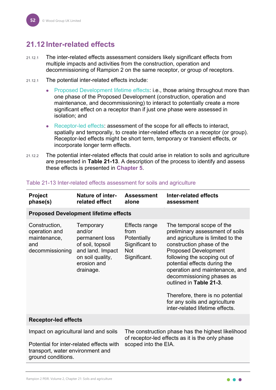# <span id="page-52-0"></span>**21.12 Inter-related effects**

- 21.12.1 The inter-related effects assessment considers likely significant effects from multiple impacts and activities from the construction, operation and decommissioning of Rampion 2 on the same receptor, or group of receptors.
- 21.12.1 The potential inter-related effects include:
	- Proposed Development lifetime effects: i.e., those arising throughout more than one phase of the Proposed Development (construction, operation and maintenance, and decommissioning) to interact to potentially create a more significant effect on a receptor than if just one phase were assessed in isolation; and
	- Receptor-led effects: assessment of the scope for all effects to interact, spatially and temporally, to create inter-related effects on a receptor (or group). Receptor-led effects might be short term, temporary or transient effects, or incorporate longer term effects.
- 21.12.2 The potential inter-related effects that could arise in relation to soils and agriculture are presented in **[Table 21-13](#page-52-1)**. A description of the process to identify and assess these effects is presented in **Chapter 5**.

| <b>Project</b><br>phase(s)                                                                                                                  | <b>Nature of inter-</b><br>related effect                                                                                     | <b>Assessment</b><br>alone                                                                         | Inter-related effects<br>assessment                                                                                                                                                                                                                                                                                                                                                                                             |
|---------------------------------------------------------------------------------------------------------------------------------------------|-------------------------------------------------------------------------------------------------------------------------------|----------------------------------------------------------------------------------------------------|---------------------------------------------------------------------------------------------------------------------------------------------------------------------------------------------------------------------------------------------------------------------------------------------------------------------------------------------------------------------------------------------------------------------------------|
|                                                                                                                                             | <b>Proposed Development lifetime effects</b>                                                                                  |                                                                                                    |                                                                                                                                                                                                                                                                                                                                                                                                                                 |
| Construction,<br>operation and<br>maintenance,<br>and<br>decommissioning                                                                    | Temporary<br>and/or<br>permanent loss<br>of soil, topsoil<br>and land. Impact<br>on soil quality,<br>erosion and<br>drainage. | <b>Effects range</b><br>from<br><b>Potentially</b><br>Significant to<br><b>Not</b><br>Significant. | The temporal scope of the<br>preliminary assessment of soils<br>and agriculture is limited to the<br>construction phase of the<br><b>Proposed Development</b><br>following the scoping out of<br>potential effects during the<br>operation and maintenance, and<br>decommissioning phases as<br>outlined in Table 21-3.<br>Therefore, there is no potential<br>for any soils and agriculture<br>inter-related lifetime effects. |
| <b>Receptor-led effects</b>                                                                                                                 |                                                                                                                               |                                                                                                    |                                                                                                                                                                                                                                                                                                                                                                                                                                 |
| Impact on agricultural land and soils<br>Potential for inter-related effects with<br>transport, water environment and<br>ground conditions. |                                                                                                                               | scoped into the EIA.                                                                               | The construction phase has the highest likelihood<br>of receptor-led effects as it is the only phase                                                                                                                                                                                                                                                                                                                            |

#### <span id="page-52-1"></span>Table 21-13 Inter-related effects assessment for soils and agriculture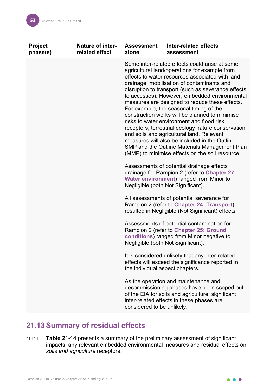| <b>Project</b><br>phase(s) | <b>Nature of inter-</b><br>related effect | <b>Assessment</b><br>alone                                                                                                                                                                                                                                                                                                                                                                                                                                                                                                                                                                                                                                                                                                                                  | Inter-related effects<br>assessment                                                                                                                                                   |
|----------------------------|-------------------------------------------|-------------------------------------------------------------------------------------------------------------------------------------------------------------------------------------------------------------------------------------------------------------------------------------------------------------------------------------------------------------------------------------------------------------------------------------------------------------------------------------------------------------------------------------------------------------------------------------------------------------------------------------------------------------------------------------------------------------------------------------------------------------|---------------------------------------------------------------------------------------------------------------------------------------------------------------------------------------|
|                            |                                           | Some inter-related effects could arise at some<br>agricultural land/operations for example from<br>effects to water resources associated with land<br>drainage, mobilisation of contaminants and<br>disruption to transport (such as severance effects<br>to accesses). However, embedded environmental<br>measures are designed to reduce these effects.<br>For example, the seasonal timing of the<br>construction works will be planned to minimise<br>risks to water environment and flood risk<br>receptors, terrestrial ecology nature conservation<br>and soils and agricultural land. Relevant<br>measures will also be included in the Outline<br>SMP and the Outline Materials Management Plan<br>(MMP) to minimise effects on the soil resource. |                                                                                                                                                                                       |
|                            |                                           | Negligible (both Not Significant).                                                                                                                                                                                                                                                                                                                                                                                                                                                                                                                                                                                                                                                                                                                          | Assessments of potential drainage effects<br>drainage for Rampion 2 (refer to Chapter 27:<br><b>Water environment) ranged from Minor to</b>                                           |
|                            |                                           |                                                                                                                                                                                                                                                                                                                                                                                                                                                                                                                                                                                                                                                                                                                                                             | All assessments of potential severance for<br>Rampion 2 (refer to Chapter 24: Transport)<br>resulted in Negligible (Not Significant) effects.                                         |
|                            |                                           | Negligible (both Not Significant).                                                                                                                                                                                                                                                                                                                                                                                                                                                                                                                                                                                                                                                                                                                          | Assessments of potential contamination for<br>Rampion 2 (refer to Chapter 25: Ground<br>conditions) ranged from Minor negative to                                                     |
|                            |                                           | the individual aspect chapters.                                                                                                                                                                                                                                                                                                                                                                                                                                                                                                                                                                                                                                                                                                                             | It is considered unlikely that any inter-related<br>effects will exceed the significance reported in                                                                                  |
|                            |                                           | considered to be unlikely.                                                                                                                                                                                                                                                                                                                                                                                                                                                                                                                                                                                                                                                                                                                                  | As the operation and maintenance and<br>decommissioning phases have been scoped out<br>of the EIA for soils and agriculture, significant<br>inter-related effects in these phases are |

# <span id="page-53-0"></span>**21.13Summary of residual effects**

21.13.1 **[Table 21-14](#page-54-0)** presents a summary of the preliminary assessment of significant impacts, any relevant embedded environmental measures and residual effects on *soils and agriculture* receptors.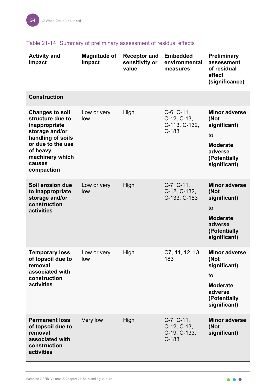| <b>Activity and</b><br>impact                                                                                                                                                  | <b>Magnitude of</b><br>impact | <b>Receptor and</b><br>sensitivity or<br>value | <b>Embedded</b><br>environmental<br>measures                | <b>Preliminary</b><br>assessment<br>of residual<br>effect<br>(significance)                                      |
|--------------------------------------------------------------------------------------------------------------------------------------------------------------------------------|-------------------------------|------------------------------------------------|-------------------------------------------------------------|------------------------------------------------------------------------------------------------------------------|
| <b>Construction</b>                                                                                                                                                            |                               |                                                |                                                             |                                                                                                                  |
| <b>Changes to soil</b><br>structure due to<br>inappropriate<br>storage and/or<br>handling of soils<br>or due to the use<br>of heavy<br>machinery which<br>causes<br>compaction | Low or very<br>low            | High                                           | $C-6$ , $C-11$ ,<br>C-12, C-13,<br>C-113, C-132,<br>$C-183$ | <b>Minor adverse</b><br>(Not<br>significant)<br>to<br><b>Moderate</b><br>adverse<br>(Potentially<br>significant) |
| Soil erosion due<br>to inappropriate<br>storage and/or<br>construction<br>activities                                                                                           | Low or very<br>low            | High                                           | $C-7, C-11,$<br>C-12, C-132,<br>C-133, C-183                | <b>Minor adverse</b><br>(Not<br>significant)<br>to<br><b>Moderate</b><br>adverse<br>(Potentially<br>significant) |
| <b>Temporary loss</b><br>of topsoil due to<br>removal<br>associated with<br>construction<br>activities                                                                         | Low or very<br>low            | High                                           | C7, 11, 12, 13,<br>183                                      | <b>Minor adverse</b><br>(Not<br>significant)<br>to<br><b>Moderate</b><br>adverse<br>(Potentially<br>significant) |
| <b>Permanent loss</b><br>of topsoil due to<br>removal<br>associated with<br>construction<br>activities                                                                         | Very low                      | High                                           | $C-7, C-11,$<br>$C-12, C-13,$<br>C-19, C-133,<br>$C-183$    | <b>Minor adverse</b><br>(Not<br>significant)                                                                     |

### <span id="page-54-0"></span>Table 21-14 Summary of preliminary assessment of residual effects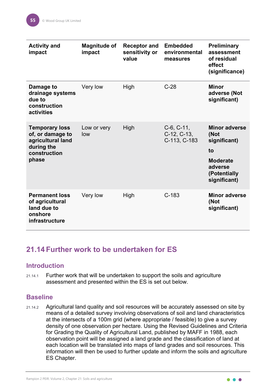| <b>Activity and</b><br>impact                                                                         | <b>Magnitude of</b><br>impact | <b>Receptor and</b><br>sensitivity or<br>value | <b>Embedded</b><br>environmental<br>measures  | <b>Preliminary</b><br>assessment<br>of residual<br>effect<br>(significance)                                      |
|-------------------------------------------------------------------------------------------------------|-------------------------------|------------------------------------------------|-----------------------------------------------|------------------------------------------------------------------------------------------------------------------|
| Damage to<br>drainage systems<br>due to<br>construction<br>activities                                 | Very low                      | High                                           | $C-28$                                        | <b>Minor</b><br>adverse (Not<br>significant)                                                                     |
| <b>Temporary loss</b><br>of, or damage to<br>agricultural land<br>during the<br>construction<br>phase | Low or very<br>low            | High                                           | $C-6, C-11,$<br>$C-12, C-13,$<br>C-113, C-183 | <b>Minor adverse</b><br>(Not<br>significant)<br>to<br><b>Moderate</b><br>adverse<br>(Potentially<br>significant) |
| <b>Permanent loss</b><br>of agricultural<br>land due to<br>onshore<br>infrastructure                  | Very low                      | High                                           | $C-183$                                       | <b>Minor adverse</b><br>(Not<br>significant)                                                                     |

# <span id="page-55-0"></span>**21.14 Further work to be undertaken for ES**

### <span id="page-55-1"></span>**Introduction**

21.14.1 Further work that will be undertaken to support the soils and agriculture assessment and presented within the ES is set out below.

#### <span id="page-55-2"></span>**Baseline**

21.14.2 Agricultural land quality and soil resources will be accurately assessed on site by means of a detailed survey involving observations of soil and land characteristics at the intersects of a 100m grid (where appropriate / feasible) to give a survey density of one observation per hectare. Using the Revised Guidelines and Criteria for Grading the Quality of Agricultural Land, published by MAFF in 1988, each observation point will be assigned a land grade and the classification of land at each location will be translated into maps of land grades and soil resources. This information will then be used to further update and inform the soils and agriculture ES Chapter.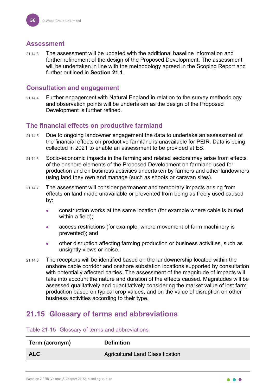#### <span id="page-56-0"></span>**Assessment**

21.14.3 The assessment will be updated with the additional baseline information and further refinement of the design of the Proposed Development. The assessment will be undertaken in line with the methodology agreed in the Scoping Report and further outlined in **Section [21.1](#page-37-0)**.

#### <span id="page-56-1"></span>**Consultation and engagement**

21.14.4 Further engagement with Natural England in relation to the survey methodology and observation points will be undertaken as the design of the Proposed Development is further refined.

## <span id="page-56-2"></span>**The financial effects on productive farmland**

- 21.14.5 Due to ongoing landowner engagement the data to undertake an assessment of the financial effects on productive farmland is unavailable for PEIR. Data is being collected in 2021 to enable an assessment to be provided at ES.
- 21.14.6 Socio-economic impacts in the farming and related sectors may arise from effects of the onshore elements of the Proposed Development on farmland used for production and on business activities undertaken by farmers and other landowners using land they own and manage (such as shoots or caravan sites).
- 21.14.7 The assessment will consider permanent and temporary impacts arising from effects on land made unavailable or prevented from being as freely used caused by:
	- construction works at the same location (for example where cable is buried within a field);
	- access restrictions (for example, where movement of farm machinery is prevented); and
	- other disruption affecting farming production or business activities, such as unsightly views or noise.
- 21.14.8 The receptors will be identified based on the landownership located within the onshore cable corridor and onshore substation locations supported by consultation with potentially affected parties. The assessment of the magnitude of impacts will take into account the nature and duration of the effects caused. Magnitudes will be assessed qualitatively and quantitatively considering the market value of lost farm production based on typical crop values, and on the value of disruption on other business activities according to their type.

# <span id="page-56-3"></span>**21.15 Glossary of terms and abbreviations**

#### Table 21-15 Glossary of terms and abbreviations

| Term (acronym) | <b>Definition</b>                       |
|----------------|-----------------------------------------|
| <b>ALC</b>     | <b>Agricultural Land Classification</b> |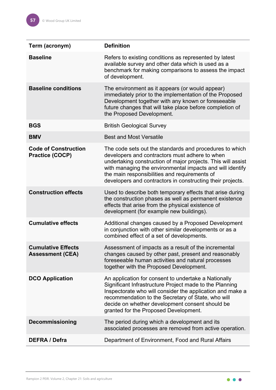| Term (acronym)                                        | <b>Definition</b>                                                                                                                                                                                                                                                                                                                                     |
|-------------------------------------------------------|-------------------------------------------------------------------------------------------------------------------------------------------------------------------------------------------------------------------------------------------------------------------------------------------------------------------------------------------------------|
| <b>Baseline</b>                                       | Refers to existing conditions as represented by latest<br>available survey and other data which is used as a<br>benchmark for making comparisons to assess the impact<br>of development.                                                                                                                                                              |
| <b>Baseline conditions</b>                            | The environment as it appears (or would appear)<br>immediately prior to the implementation of the Proposed<br>Development together with any known or foreseeable<br>future changes that will take place before completion of<br>the Proposed Development.                                                                                             |
| <b>BGS</b>                                            | <b>British Geological Survey</b>                                                                                                                                                                                                                                                                                                                      |
| <b>BMV</b>                                            | <b>Best and Most Versatile</b>                                                                                                                                                                                                                                                                                                                        |
| <b>Code of Construction</b><br><b>Practice (COCP)</b> | The code sets out the standards and procedures to which<br>developers and contractors must adhere to when<br>undertaking construction of major projects. This will assist<br>with managing the environmental impacts and will identify<br>the main responsibilities and requirements of<br>developers and contractors in constructing their projects. |
| <b>Construction effects</b>                           | Used to describe both temporary effects that arise during<br>the construction phases as well as permanent existence<br>effects that arise from the physical existence of<br>development (for example new buildings).                                                                                                                                  |
| <b>Cumulative effects</b>                             | Additional changes caused by a Proposed Development<br>in conjunction with other similar developments or as a<br>combined effect of a set of developments.                                                                                                                                                                                            |
| <b>Cumulative Effects</b><br><b>Assessment (CEA)</b>  | Assessment of impacts as a result of the incremental<br>changes caused by other past, present and reasonably<br>foreseeable human activities and natural processes<br>together with the Proposed Development.                                                                                                                                         |
| <b>DCO Application</b>                                | An application for consent to undertake a Nationally<br>Significant Infrastructure Project made to the Planning<br>Inspectorate who will consider the application and make a<br>recommendation to the Secretary of State, who will<br>decide on whether development consent should be<br>granted for the Proposed Development.                        |
| <b>Decommissioning</b>                                | The period during which a development and its<br>associated processes are removed from active operation.                                                                                                                                                                                                                                              |
| <b>DEFRA / Defra</b>                                  | Department of Environment, Food and Rural Affairs                                                                                                                                                                                                                                                                                                     |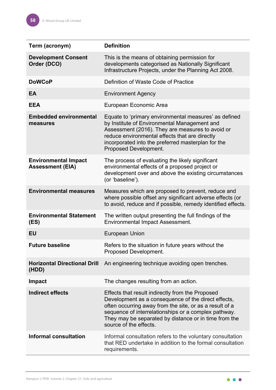| Term (acronym)                                         | <b>Definition</b>                                                                                                                                                                                                                                                                                             |
|--------------------------------------------------------|---------------------------------------------------------------------------------------------------------------------------------------------------------------------------------------------------------------------------------------------------------------------------------------------------------------|
| <b>Development Consent</b><br>Order (DCO)              | This is the means of obtaining permission for<br>developments categorised as Nationally Significant<br>Infrastructure Projects, under the Planning Act 2008.                                                                                                                                                  |
| <b>DoWCoP</b>                                          | Definition of Waste Code of Practice                                                                                                                                                                                                                                                                          |
| EA                                                     | <b>Environment Agency</b>                                                                                                                                                                                                                                                                                     |
| <b>EEA</b>                                             | European Economic Area                                                                                                                                                                                                                                                                                        |
| <b>Embedded environmental</b><br>measures              | Equate to 'primary environmental measures' as defined<br>by Institute of Environmental Management and<br>Assessment (2016). They are measures to avoid or<br>reduce environmental effects that are directly<br>incorporated into the preferred masterplan for the<br>Proposed Development.                    |
| <b>Environmental Impact</b><br><b>Assessment (EIA)</b> | The process of evaluating the likely significant<br>environmental effects of a proposed project or<br>development over and above the existing circumstances<br>(or 'baseline').                                                                                                                               |
| <b>Environmental measures</b>                          | Measures which are proposed to prevent, reduce and<br>where possible offset any significant adverse effects (or<br>to avoid, reduce and if possible, remedy identified effects.                                                                                                                               |
| <b>Environmental Statement</b><br>(ES)                 | The written output presenting the full findings of the<br><b>Environmental Impact Assessment.</b>                                                                                                                                                                                                             |
| <b>EU</b>                                              | <b>European Union</b>                                                                                                                                                                                                                                                                                         |
| <b>Future baseline</b>                                 | Refers to the situation in future years without the<br>Proposed Development.                                                                                                                                                                                                                                  |
| <b>Horizontal Directional Drill</b><br>(HDD)           | An engineering technique avoiding open trenches.                                                                                                                                                                                                                                                              |
| <b>Impact</b>                                          | The changes resulting from an action.                                                                                                                                                                                                                                                                         |
| <b>Indirect effects</b>                                | Effects that result indirectly from the Proposed<br>Development as a consequence of the direct effects,<br>often occurring away from the site, or as a result of a<br>sequence of interrelationships or a complex pathway.<br>They may be separated by distance or in time from the<br>source of the effects. |
| <b>Informal consultation</b>                           | Informal consultation refers to the voluntary consultation<br>that RED undertake in addition to the formal consultation<br>requirements.                                                                                                                                                                      |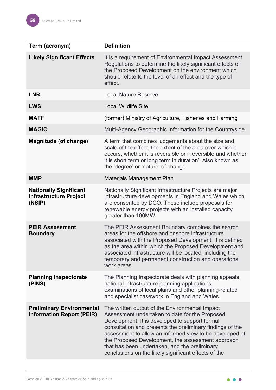| Term (acronym)                                                           | <b>Definition</b>                                                                                                                                                                                                                                                                                                                                                                                                                        |
|--------------------------------------------------------------------------|------------------------------------------------------------------------------------------------------------------------------------------------------------------------------------------------------------------------------------------------------------------------------------------------------------------------------------------------------------------------------------------------------------------------------------------|
| <b>Likely Significant Effects</b>                                        | It is a requirement of Environmental Impact Assessment<br>Regulations to determine the likely significant effects of<br>the Proposed Development on the environment which<br>should relate to the level of an effect and the type of<br>effect.                                                                                                                                                                                          |
| <b>LNR</b>                                                               | <b>Local Nature Reserve</b>                                                                                                                                                                                                                                                                                                                                                                                                              |
| <b>LWS</b>                                                               | <b>Local Wildlife Site</b>                                                                                                                                                                                                                                                                                                                                                                                                               |
| <b>MAFF</b>                                                              | (former) Ministry of Agriculture, Fisheries and Farming                                                                                                                                                                                                                                                                                                                                                                                  |
| <b>MAGIC</b>                                                             | Multi-Agency Geographic Information for the Countryside                                                                                                                                                                                                                                                                                                                                                                                  |
| <b>Magnitude (of change)</b>                                             | A term that combines judgements about the size and<br>scale of the effect, the extent of the area over which it<br>occurs, whether it is reversible or irreversible and whether<br>it is short term or long term in duration'. Also known as<br>the 'degree' or 'nature' of change.                                                                                                                                                      |
| <b>MMP</b>                                                               | <b>Materials Management Plan</b>                                                                                                                                                                                                                                                                                                                                                                                                         |
| <b>Nationally Significant</b><br><b>Infrastructure Project</b><br>(NSIP) | Nationally Significant Infrastructure Projects are major<br>infrastructure developments in England and Wales which<br>are consented by DCO. These include proposals for<br>renewable energy projects with an installed capacity<br>greater than 100MW.                                                                                                                                                                                   |
| <b>PEIR Assessment</b><br><b>Boundary</b>                                | The PEIR Assessment Boundary combines the search<br>areas for the offshore and onshore infrastructure<br>associated with the Proposed Development. It is defined<br>as the area within which the Proposed Development and<br>associated infrastructure will be located, including the<br>temporary and permanent construction and operational<br>work areas.                                                                             |
| <b>Planning Inspectorate</b><br>(PINS)                                   | The Planning Inspectorate deals with planning appeals,<br>national infrastructure planning applications,<br>examinations of local plans and other planning-related<br>and specialist casework in England and Wales.                                                                                                                                                                                                                      |
| <b>Preliminary Environmental</b><br><b>Information Report (PEIR)</b>     | The written output of the Environmental Impact<br>Assessment undertaken to date for the Proposed<br>Development. It is developed to support formal<br>consultation and presents the preliminary findings of the<br>assessment to allow an informed view to be developed of<br>the Proposed Development, the assessment approach<br>that has been undertaken, and the preliminary<br>conclusions on the likely significant effects of the |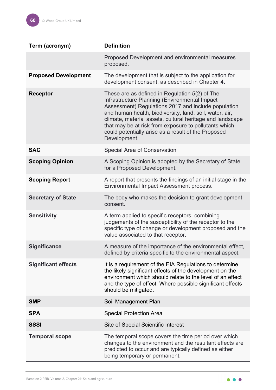| Term (acronym)              | <b>Definition</b>                                                                                                                                                                                                                                                                                                                                                                                              |
|-----------------------------|----------------------------------------------------------------------------------------------------------------------------------------------------------------------------------------------------------------------------------------------------------------------------------------------------------------------------------------------------------------------------------------------------------------|
|                             | Proposed Development and environmental measures<br>proposed.                                                                                                                                                                                                                                                                                                                                                   |
| <b>Proposed Development</b> | The development that is subject to the application for<br>development consent, as described in Chapter 4.                                                                                                                                                                                                                                                                                                      |
| <b>Receptor</b>             | These are as defined in Regulation 5(2) of The<br>Infrastructure Planning (Environmental Impact<br>Assessment) Regulations 2017 and include population<br>and human health, biodiversity, land, soil, water, air,<br>climate, material assets, cultural heritage and landscape<br>that may be at risk from exposure to pollutants which<br>could potentially arise as a result of the Proposed<br>Development. |
| <b>SAC</b>                  | Special Area of Conservation                                                                                                                                                                                                                                                                                                                                                                                   |
| <b>Scoping Opinion</b>      | A Scoping Opinion is adopted by the Secretary of State<br>for a Proposed Development.                                                                                                                                                                                                                                                                                                                          |
| <b>Scoping Report</b>       | A report that presents the findings of an initial stage in the<br>Environmental Impact Assessment process.                                                                                                                                                                                                                                                                                                     |
| <b>Secretary of State</b>   | The body who makes the decision to grant development<br>consent.                                                                                                                                                                                                                                                                                                                                               |
| <b>Sensitivity</b>          | A term applied to specific receptors, combining<br>judgements of the susceptibility of the receptor to the<br>specific type of change or development proposed and the<br>value associated to that receptor.                                                                                                                                                                                                    |
| <b>Significance</b>         | A measure of the importance of the environmental effect,<br>defined by criteria specific to the environmental aspect.                                                                                                                                                                                                                                                                                          |
| <b>Significant effects</b>  | It is a requirement of the EIA Regulations to determine<br>the likely significant effects of the development on the<br>environment which should relate to the level of an effect<br>and the type of effect. Where possible significant effects<br>should be mitigated.                                                                                                                                         |
| <b>SMP</b>                  | Soil Management Plan                                                                                                                                                                                                                                                                                                                                                                                           |
| <b>SPA</b>                  | <b>Special Protection Area</b>                                                                                                                                                                                                                                                                                                                                                                                 |
| <b>SSSI</b>                 | Site of Special Scientific Interest                                                                                                                                                                                                                                                                                                                                                                            |
| <b>Temporal scope</b>       | The temporal scope covers the time period over which<br>changes to the environment and the resultant effects are<br>predicted to occur and are typically defined as either<br>being temporary or permanent.                                                                                                                                                                                                    |

 $\bullet\bullet\bullet$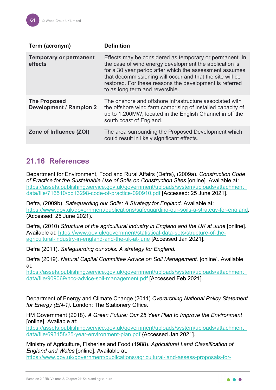| Term (acronym)                                        | <b>Definition</b>                                                                                                                                                                                                                                                                                                                       |
|-------------------------------------------------------|-----------------------------------------------------------------------------------------------------------------------------------------------------------------------------------------------------------------------------------------------------------------------------------------------------------------------------------------|
| <b>Temporary or permanent</b><br>effects              | Effects may be considered as temporary or permanent. In<br>the case of wind energy development the application is<br>for a 30 year period after which the assessment assumes<br>that decommissioning will occur and that the site will be<br>restored. For these reasons the development is referred<br>to as long term and reversible. |
| <b>The Proposed</b><br><b>Development / Rampion 2</b> | The onshore and offshore infrastructure associated with<br>the offshore wind farm comprising of installed capacity of<br>up to 1,200MW, located in the English Channel in off the<br>south coast of England.                                                                                                                            |
| Zone of Influence (ZOI)                               | The area surrounding the Proposed Development which<br>could result in likely significant effects.                                                                                                                                                                                                                                      |

# <span id="page-61-0"></span>**21.16 References**

Department for Environment, Food and Rural Affairs (Defra), (2009a). *Construction Code of Practice for the Sustainable Use of Soils on Construction Sites* [online]. Available at: [https://assets.publishing.service.gov.uk/government/uploads/system/uploads/attachment\\_](https://assets.publishing.service.gov.uk/government/uploads/system/uploads/attachment_data/file/716510/pb13298-code-of-practice-090910.pdf) [data/file/716510/pb13298-code-of-practice-090910.pdf](https://assets.publishing.service.gov.uk/government/uploads/system/uploads/attachment_data/file/716510/pb13298-code-of-practice-090910.pdf) [Accessed: 25 June 2021].

Defra, (2009b). *Safeguarding our Soils: A Strategy for England*. Available at: [https://www.gov.uk/government/publications/safeguarding-our-soils-a-strategy-for-england,](https://www.gov.uk/government/publications/safeguarding-our-soils-a-strategy-for-england) (Accessed: 25 June 2021).

Defra, (2010) *Structure of the agricultural industry in England and the UK at June* [online]. Available at: [https://www.gov.uk/government/statistical-data-sets/structure-of-the](https://www.gov.uk/government/statistical-data-sets/structure-of-the-agricultural-industry-in-england-and-the-uk-at-june)[agricultural-industry-in-england-and-the-uk-at-june](https://www.gov.uk/government/statistical-data-sets/structure-of-the-agricultural-industry-in-england-and-the-uk-at-june) [Accessed Jan 2021].

Defra (2011). *Safeguarding our soils: A strategy for England.*

Defra (2019). *Natural Capital Committee Advice on Soil Management.* [online]. Available at:

[https://assets.publishing.service.gov.uk/government/uploads/system/uploads/attachment\\_](https://assets.publishing.service.gov.uk/government/uploads/system/uploads/attachment_data/file/909069/ncc-advice-soil-management.pdf) [data/file/909069/ncc-advice-soil-management.pdf](https://assets.publishing.service.gov.uk/government/uploads/system/uploads/attachment_data/file/909069/ncc-advice-soil-management.pdf) [Accessed Feb 2021].

Department of Energy and Climate Change (2011) *Overarching National Policy Statement for Energy (EN-1).* London: The Stationery Office.

HM Government (2018). *A Green Future: Our 25 Year Plan to Improve the Environment*  [online]. Available at:

[https://assets.publishing.service.gov.uk/government/uploads/system/uploads/attachment\\_](https://assets.publishing.service.gov.uk/government/uploads/system/uploads/attachment_data/file/693158/25-year-environment-plan.pdf) [data/file/693158/25-year-environment-plan.pdf](https://assets.publishing.service.gov.uk/government/uploads/system/uploads/attachment_data/file/693158/25-year-environment-plan.pdf) {Accessed Jan 2021].

Ministry of Agriculture, Fisheries and Food (1988)*. Agricultural Land Classification of England and Wales* [online]. Available at:

[https://www.gov.uk/government/publications/agricultural-land-assess-proposals-for-](https://www.gov.uk/government/publications/agricultural-land-assess-proposals-for-development/guide-to-assessing-development-proposals-on-agricultural-land)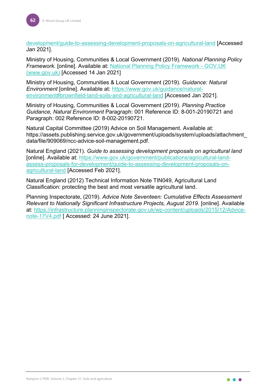[development/guide-to-assessing-development-proposals-on-agricultural-land](https://www.gov.uk/government/publications/agricultural-land-assess-proposals-for-development/guide-to-assessing-development-proposals-on-agricultural-land) [Accessed Jan 2021].

Ministry of Housing, Communities & Local Government (2019). *National Planning Policy Framework.* [online]. Available at: [National Planning Policy Framework - GOV.UK](https://www.gov.uk/government/publications/national-planning-policy-framework--2)  [\(www.gov.uk\)](https://www.gov.uk/government/publications/national-planning-policy-framework--2) [Accessed 14 Jan 2021]

Ministry of Housing, Communities & Local Government (2019). *Guidance: Natural Environment* [online]. Available at: [https://www.gov.uk/guidance/natural](https://www.gov.uk/guidance/natural-environment#brownfield-land-soils-and-agricultural-land)[environment#brownfield-land-soils-and-agricultural-land](https://www.gov.uk/guidance/natural-environment#brownfield-land-soils-and-agricultural-land) [Accessed Jan 2021].

Ministry of Housing, Communities & Local Government (2019). *Planning Practice Guidance, Natural Environment* Paragraph: 001 Reference ID: 8-001-20190721 and Paragraph: 002 Reference ID: 8-002-20190721.

Natural Capital Committee (2019) Advice on Soil Management. Available at: https://assets.publishing.service.gov.uk/government/uploads/system/uploads/attachment\_ data/file/909069/ncc-advice-soil-management.pdf.

Natural England (2021). *Guide to assessing development proposals on agricultural land* [online]. Available at: [https://www.gov.uk/government/publications/agricultural-land](https://www.gov.uk/government/publications/agricultural-land-assess-proposals-for-development/guide-to-assessing-development-proposals-on-agricultural-land)[assess-proposals-for-development/guide-to-assessing-development-proposals-on](https://www.gov.uk/government/publications/agricultural-land-assess-proposals-for-development/guide-to-assessing-development-proposals-on-agricultural-land)[agricultural-land](https://www.gov.uk/government/publications/agricultural-land-assess-proposals-for-development/guide-to-assessing-development-proposals-on-agricultural-land) [Accessed Feb 2021].

Natural England (2012) Technical Information Note TIN049, Agricultural Land Classification: protecting the best and most versatile agricultural land.

Planning Inspectorate, (2019). *Advice Note Seventeen: Cumulative Effects Assessment Relevant to Nationally Significant Infrastructure Projects, August 2019*. [online]. Available at: [https://infrastructure.planninginspectorate.gov.uk/wp-content/uploads/2015/12/Advice](https://infrastructure.planninginspectorate.gov.uk/wp-content/uploads/2015/12/Advice-note-17V4.pdf)[note-17V4.pdf](https://infrastructure.planninginspectorate.gov.uk/wp-content/uploads/2015/12/Advice-note-17V4.pdf) [ Accessed: 24 June 2021].